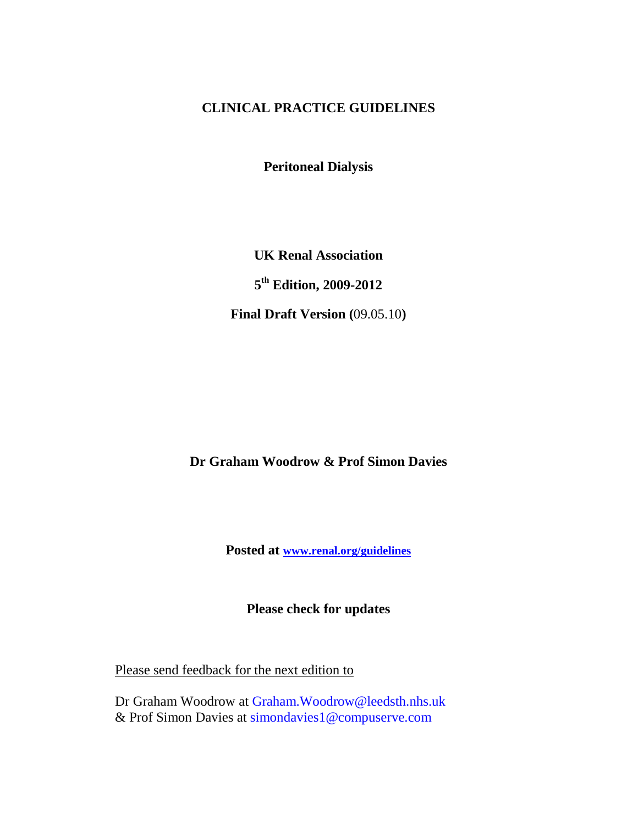# **CLINICAL PRACTICE GUIDELINES**

**Peritoneal Dialysis** 

**UK Renal Association 5 th Edition, 2009-2012** 

**Final Draft Version (**09.05.10**)** 

# **Dr Graham Woodrow & Prof Simon Davies**

**Posted at www.renal.org/guidelines**

**Please check for updates** 

Please send feedback for the next edition to

Dr Graham Woodrow at Graham.Woodrow@leedsth.nhs.uk & Prof Simon Davies at simondavies1@compuserve.com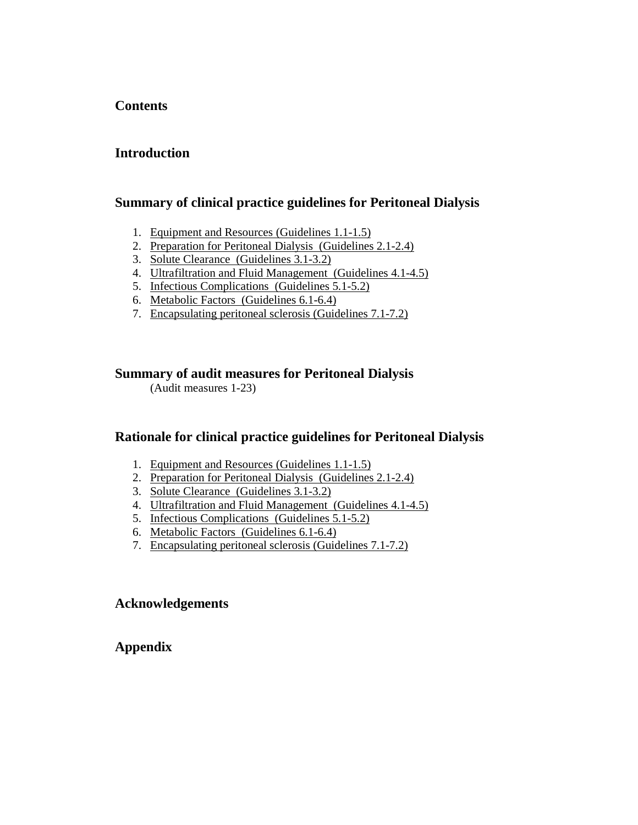# **Contents**

# **Introduction**

# **Summary of clinical practice guidelines for Peritoneal Dialysis**

- 1. Equipment and Resources (Guidelines 1.1-1.5)
- 2. Preparation for Peritoneal Dialysis (Guidelines 2.1-2.4)
- 3. Solute Clearance (Guidelines 3.1-3.2)
- 4. Ultrafiltration and Fluid Management (Guidelines 4.1-4.5)
- 5. Infectious Complications (Guidelines 5.1-5.2)
- 6. Metabolic Factors (Guidelines 6.1-6.4)
- 7. Encapsulating peritoneal sclerosis (Guidelines 7.1-7.2)

# **Summary of audit measures for Peritoneal Dialysis**

(Audit measures 1-23)

# **Rationale for clinical practice guidelines for Peritoneal Dialysis**

- 1. Equipment and Resources (Guidelines 1.1-1.5)
- 2. Preparation for Peritoneal Dialysis (Guidelines 2.1-2.4)
- 3. Solute Clearance (Guidelines 3.1-3.2)
- 4. Ultrafiltration and Fluid Management (Guidelines 4.1-4.5)
- 5. Infectious Complications (Guidelines 5.1-5.2)
- 6. Metabolic Factors (Guidelines 6.1-6.4)
- 7. Encapsulating peritoneal sclerosis (Guidelines 7.1-7.2)

## **Acknowledgements**

**Appendix**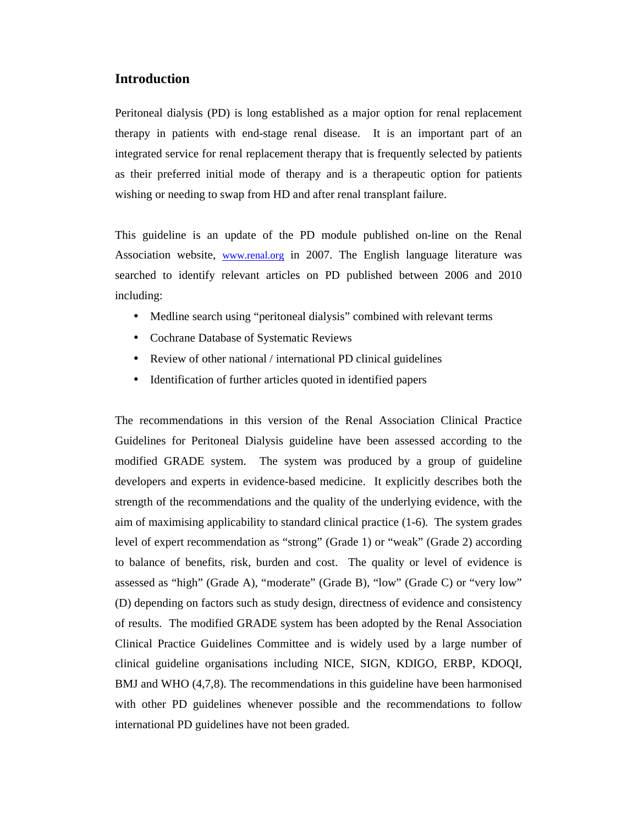## **Introduction**

Peritoneal dialysis (PD) is long established as a major option for renal replacement therapy in patients with end-stage renal disease. It is an important part of an integrated service for renal replacement therapy that is frequently selected by patients as their preferred initial mode of therapy and is a therapeutic option for patients wishing or needing to swap from HD and after renal transplant failure.

This guideline is an update of the PD module published on-line on the Renal Association website, www.renal.org in 2007. The English language literature was searched to identify relevant articles on PD published between 2006 and 2010 including:

- Medline search using "peritoneal dialysis" combined with relevant terms
- Cochrane Database of Systematic Reviews
- Review of other national / international PD clinical guidelines
- Identification of further articles quoted in identified papers

The recommendations in this version of the Renal Association Clinical Practice Guidelines for Peritoneal Dialysis guideline have been assessed according to the modified GRADE system. The system was produced by a group of guideline developers and experts in evidence-based medicine. It explicitly describes both the strength of the recommendations and the quality of the underlying evidence, with the aim of maximising applicability to standard clinical practice (1-6). The system grades level of expert recommendation as "strong" (Grade 1) or "weak" (Grade 2) according to balance of benefits, risk, burden and cost. The quality or level of evidence is assessed as "high" (Grade A), "moderate" (Grade B), "low" (Grade C) or "very low" (D) depending on factors such as study design, directness of evidence and consistency of results. The modified GRADE system has been adopted by the Renal Association Clinical Practice Guidelines Committee and is widely used by a large number of clinical guideline organisations including NICE, SIGN, KDIGO, ERBP, KDOQI, BMJ and WHO (4,7,8). The recommendations in this guideline have been harmonised with other PD guidelines whenever possible and the recommendations to follow international PD guidelines have not been graded.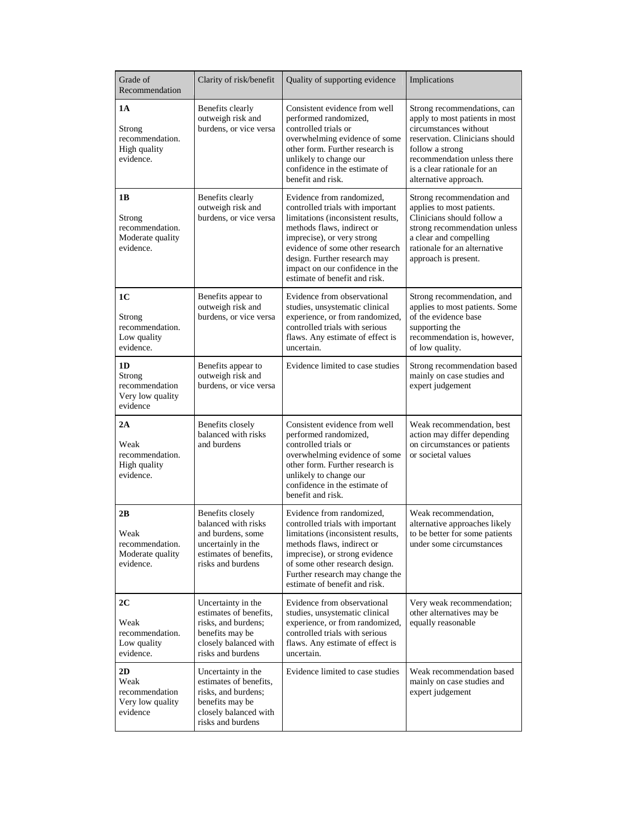| Grade of<br>Recommendation                                              | Clarity of risk/benefit                                                                                                              | Quality of supporting evidence                                                                                                                                                                                                                                                                         | Implications                                                                                                                                                                                                                       |
|-------------------------------------------------------------------------|--------------------------------------------------------------------------------------------------------------------------------------|--------------------------------------------------------------------------------------------------------------------------------------------------------------------------------------------------------------------------------------------------------------------------------------------------------|------------------------------------------------------------------------------------------------------------------------------------------------------------------------------------------------------------------------------------|
| 1A<br>Strong<br>recommendation.<br>High quality<br>evidence.            | Benefits clearly<br>outweigh risk and<br>burdens, or vice versa                                                                      | Consistent evidence from well<br>performed randomized,<br>controlled trials or<br>overwhelming evidence of some<br>other form. Further research is<br>unlikely to change our<br>confidence in the estimate of<br>benefit and risk.                                                                     | Strong recommendations, can<br>apply to most patients in most<br>circumstances without<br>reservation. Clinicians should<br>follow a strong<br>recommendation unless there<br>is a clear rationale for an<br>alternative approach. |
| 1B<br>Strong<br>recommendation.<br>Moderate quality<br>evidence.        | Benefits clearly<br>outweigh risk and<br>burdens, or vice versa                                                                      | Evidence from randomized,<br>controlled trials with important<br>limitations (inconsistent results,<br>methods flaws, indirect or<br>imprecise), or very strong<br>evidence of some other research<br>design. Further research may<br>impact on our confidence in the<br>estimate of benefit and risk. | Strong recommendation and<br>applies to most patients.<br>Clinicians should follow a<br>strong recommendation unless<br>a clear and compelling<br>rationale for an alternative<br>approach is present.                             |
| 1 <sub>C</sub><br>Strong<br>recommendation.<br>Low quality<br>evidence. | Benefits appear to<br>outweigh risk and<br>burdens, or vice versa                                                                    | Evidence from observational<br>studies, unsystematic clinical<br>experience, or from randomized,<br>controlled trials with serious<br>flaws. Any estimate of effect is<br>uncertain.                                                                                                                   | Strong recommendation, and<br>applies to most patients. Some<br>of the evidence base<br>supporting the<br>recommendation is, however,<br>of low quality.                                                                           |
| 1D<br>Strong<br>recommendation<br>Very low quality<br>evidence          | Benefits appear to<br>outweigh risk and<br>burdens, or vice versa                                                                    | Evidence limited to case studies                                                                                                                                                                                                                                                                       | Strong recommendation based<br>mainly on case studies and<br>expert judgement                                                                                                                                                      |
| 2A<br>Weak<br>recommendation.<br>High quality<br>evidence.              | Benefits closely<br>balanced with risks<br>and burdens                                                                               | Consistent evidence from well<br>performed randomized,<br>controlled trials or<br>overwhelming evidence of some<br>other form. Further research is<br>unlikely to change our<br>confidence in the estimate of<br>benefit and risk.                                                                     | Weak recommendation, best<br>action may differ depending<br>on circumstances or patients<br>or societal values                                                                                                                     |
| 2B<br>Weak<br>recommendation.<br>Moderate quality<br>evidence.          | Benefits closely<br>balanced with risks<br>and burdens, some<br>uncertainly in the<br>estimates of benefits,<br>risks and burdens    | Evidence from randomized,<br>controlled trials with important<br>limitations (inconsistent results,<br>methods flaws, indirect or<br>imprecise), or strong evidence<br>of some other research design.<br>Further research may change the<br>estimate of benefit and risk.                              | Weak recommendation,<br>alternative approaches likely<br>to be better for some patients<br>under some circumstances                                                                                                                |
| 2C<br>Weak<br>recommendation.<br>Low quality<br>evidence.               | Uncertainty in the<br>estimates of benefits,<br>risks, and burdens;<br>benefits may be<br>closely balanced with<br>risks and burdens | Evidence from observational<br>studies, unsystematic clinical<br>experience, or from randomized,<br>controlled trials with serious<br>flaws. Any estimate of effect is<br>uncertain.                                                                                                                   | Very weak recommendation;<br>other alternatives may be<br>equally reasonable                                                                                                                                                       |
| 2D<br>Weak<br>recommendation<br>Very low quality<br>evidence            | Uncertainty in the<br>estimates of benefits,<br>risks, and burdens;<br>benefits may be<br>closely balanced with<br>risks and burdens | Evidence limited to case studies                                                                                                                                                                                                                                                                       | Weak recommendation based<br>mainly on case studies and<br>expert judgement                                                                                                                                                        |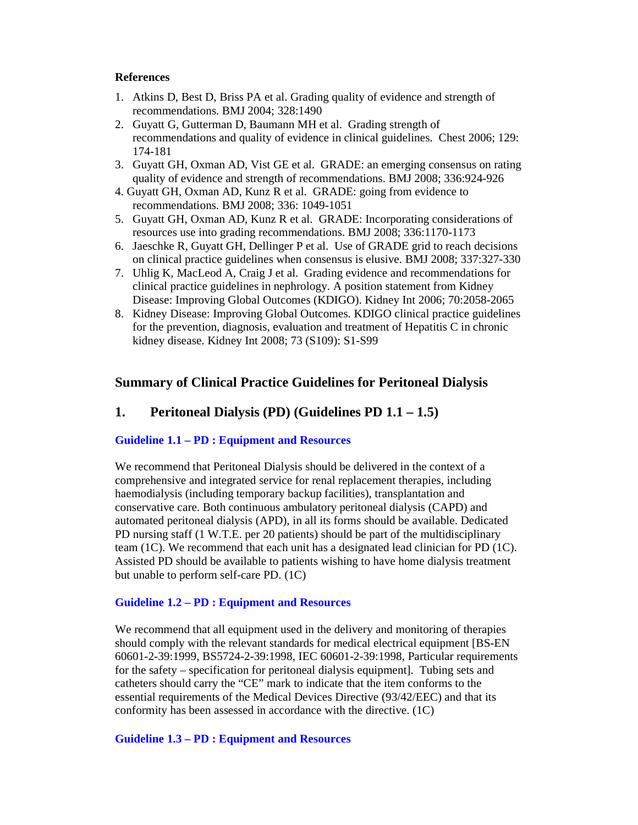## **References**

- 1. Atkins D, Best D, Briss PA et al. Grading quality of evidence and strength of recommendations. BMJ 2004; 328:1490
- 2. Guyatt G, Gutterman D, Baumann MH et al. Grading strength of recommendations and quality of evidence in clinical guidelines. Chest 2006; 129: 174-181
- 3. Guyatt GH, Oxman AD, Vist GE et al. GRADE: an emerging consensus on rating quality of evidence and strength of recommendations. BMJ 2008; 336:924-926
- 4. Guyatt GH, Oxman AD, Kunz R et al. GRADE: going from evidence to recommendations. BMJ 2008; 336: 1049-1051
- 5. Guyatt GH, Oxman AD, Kunz R et al. GRADE: Incorporating considerations of resources use into grading recommendations. BMJ 2008; 336:1170-1173
- 6. Jaeschke R, Guyatt GH, Dellinger P et al. Use of GRADE grid to reach decisions on clinical practice guidelines when consensus is elusive. BMJ 2008; 337:327-330
- 7. Uhlig K, MacLeod A, Craig J et al. Grading evidence and recommendations for clinical practice guidelines in nephrology. A position statement from Kidney Disease: Improving Global Outcomes (KDIGO). Kidney Int 2006; 70:2058-2065
- 8. Kidney Disease: Improving Global Outcomes. KDIGO clinical practice guidelines for the prevention, diagnosis, evaluation and treatment of Hepatitis C in chronic kidney disease. Kidney Int 2008; 73 (S109): S1-S99

## **Summary of Clinical Practice Guidelines for Peritoneal Dialysis**

# **1. Peritoneal Dialysis (PD) (Guidelines PD 1.1 – 1.5)**

## **Guideline 1.1 – PD : Equipment and Resources**

We recommend that Peritoneal Dialysis should be delivered in the context of a comprehensive and integrated service for renal replacement therapies, including haemodialysis (including temporary backup facilities), transplantation and conservative care. Both continuous ambulatory peritoneal dialysis (CAPD) and automated peritoneal dialysis (APD), in all its forms should be available. Dedicated PD nursing staff (1 W.T.E. per 20 patients) should be part of the multidisciplinary team (1C). We recommend that each unit has a designated lead clinician for PD (1C). Assisted PD should be available to patients wishing to have home dialysis treatment but unable to perform self-care PD. (1C)

#### **Guideline 1.2 – PD : Equipment and Resources**

We recommend that all equipment used in the delivery and monitoring of therapies should comply with the relevant standards for medical electrical equipment [BS-EN 60601-2-39:1999, BS5724-2-39:1998, IEC 60601-2-39:1998, Particular requirements for the safety – specification for peritoneal dialysis equipment]. Tubing sets and catheters should carry the "CE" mark to indicate that the item conforms to the essential requirements of the Medical Devices Directive (93/42/EEC) and that its conformity has been assessed in accordance with the directive. (1C)

## **Guideline 1.3 – PD : Equipment and Resources**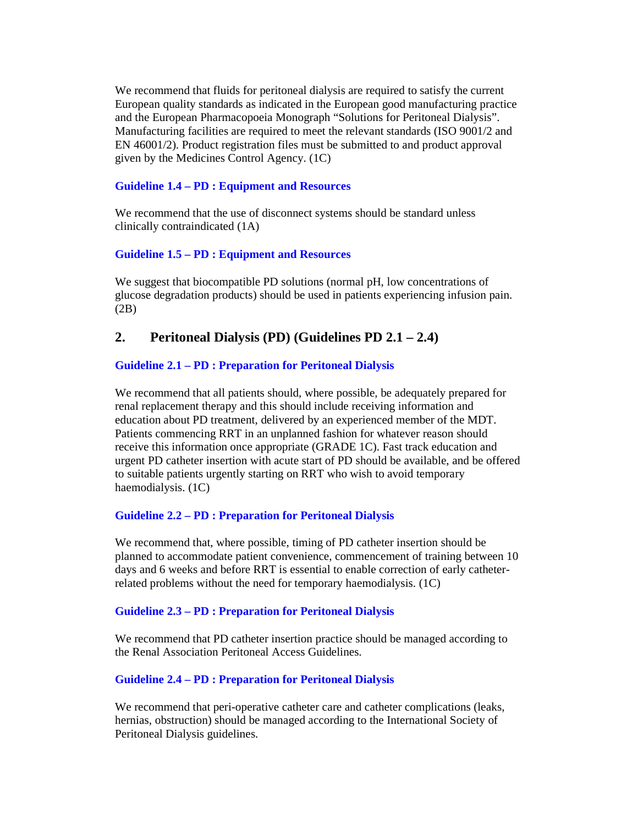We recommend that fluids for peritoneal dialysis are required to satisfy the current European quality standards as indicated in the European good manufacturing practice and the European Pharmacopoeia Monograph "Solutions for Peritoneal Dialysis". Manufacturing facilities are required to meet the relevant standards (ISO 9001/2 and EN 46001/2). Product registration files must be submitted to and product approval given by the Medicines Control Agency. (1C)

## **Guideline 1.4 – PD : Equipment and Resources**

We recommend that the use of disconnect systems should be standard unless clinically contraindicated (1A)

### **Guideline 1.5 – PD : Equipment and Resources**

We suggest that biocompatible PD solutions (normal pH, low concentrations of glucose degradation products) should be used in patients experiencing infusion pain. (2B)

# **2. Peritoneal Dialysis (PD) (Guidelines PD 2.1 – 2.4)**

### **Guideline 2.1 – PD : Preparation for Peritoneal Dialysis**

We recommend that all patients should, where possible, be adequately prepared for renal replacement therapy and this should include receiving information and education about PD treatment, delivered by an experienced member of the MDT. Patients commencing RRT in an unplanned fashion for whatever reason should receive this information once appropriate (GRADE 1C). Fast track education and urgent PD catheter insertion with acute start of PD should be available, and be offered to suitable patients urgently starting on RRT who wish to avoid temporary haemodialysis. (1C)

## **Guideline 2.2 – PD : Preparation for Peritoneal Dialysis**

We recommend that, where possible, timing of PD catheter insertion should be planned to accommodate patient convenience, commencement of training between 10 days and 6 weeks and before RRT is essential to enable correction of early catheterrelated problems without the need for temporary haemodialysis. (1C)

#### **Guideline 2.3 – PD : Preparation for Peritoneal Dialysis**

We recommend that PD catheter insertion practice should be managed according to the Renal Association Peritoneal Access Guidelines.

#### **Guideline 2.4 – PD : Preparation for Peritoneal Dialysis**

We recommend that peri-operative catheter care and catheter complications (leaks, hernias, obstruction) should be managed according to the International Society of Peritoneal Dialysis guidelines.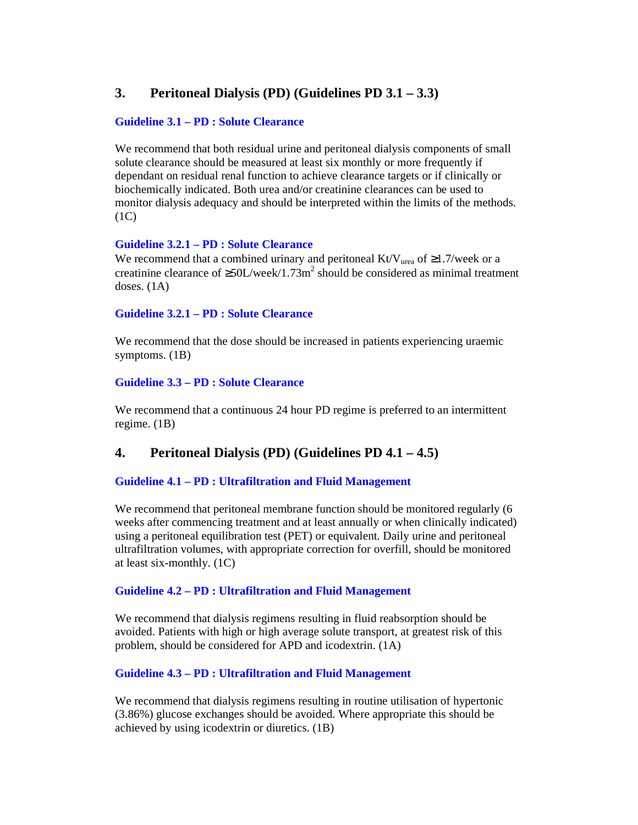# **3. Peritoneal Dialysis (PD) (Guidelines PD 3.1 – 3.3)**

## **Guideline 3.1 – PD : Solute Clearance**

We recommend that both residual urine and peritoneal dialysis components of small solute clearance should be measured at least six monthly or more frequently if dependant on residual renal function to achieve clearance targets or if clinically or biochemically indicated. Both urea and/or creatinine clearances can be used to monitor dialysis adequacy and should be interpreted within the limits of the methods.  $(1C)$ 

### **Guideline 3.2.1 – PD : Solute Clearance**

We recommend that a combined urinary and peritoneal  $Kt/V_{\text{area}}$  of  $\geq$ 1.7/week or a creatinine clearance of  $\geq 50$ L/week/1.73m<sup>2</sup> should be considered as minimal treatment doses. (1A)

### **Guideline 3.2.1 – PD : Solute Clearance**

We recommend that the dose should be increased in patients experiencing uraemic symptoms. (1B)

### **Guideline 3.3 – PD : Solute Clearance**

We recommend that a continuous 24 hour PD regime is preferred to an intermittent regime. (1B)

## **4. Peritoneal Dialysis (PD) (Guidelines PD 4.1 – 4.5)**

## **Guideline 4.1 – PD : Ultrafiltration and Fluid Management**

We recommend that peritoneal membrane function should be monitored regularly  $(6$ weeks after commencing treatment and at least annually or when clinically indicated) using a peritoneal equilibration test (PET) or equivalent. Daily urine and peritoneal ultrafiltration volumes, with appropriate correction for overfill, should be monitored at least six-monthly. (1C)

## **Guideline 4.2 – PD : Ultrafiltration and Fluid Management**

We recommend that dialysis regimens resulting in fluid reabsorption should be avoided. Patients with high or high average solute transport, at greatest risk of this problem, should be considered for APD and icodextrin. (1A)

## **Guideline 4.3 – PD : Ultrafiltration and Fluid Management**

We recommend that dialysis regimens resulting in routine utilisation of hypertonic (3.86%) glucose exchanges should be avoided. Where appropriate this should be achieved by using icodextrin or diuretics. (1B)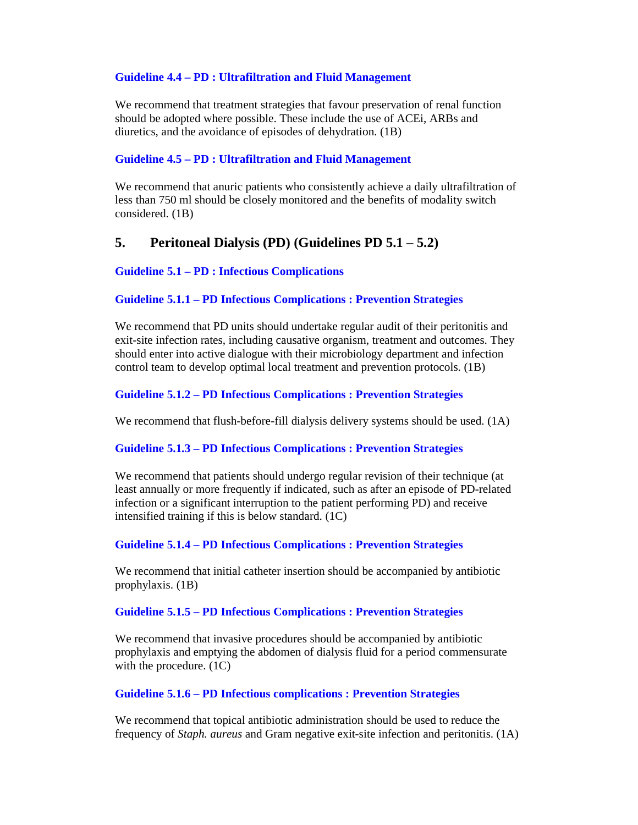## **Guideline 4.4 – PD : Ultrafiltration and Fluid Management**

We recommend that treatment strategies that favour preservation of renal function should be adopted where possible. These include the use of ACEi, ARBs and diuretics, and the avoidance of episodes of dehydration. (1B)

## **Guideline 4.5 – PD : Ultrafiltration and Fluid Management**

We recommend that anuric patients who consistently achieve a daily ultrafiltration of less than 750 ml should be closely monitored and the benefits of modality switch considered. (1B)

# **5. Peritoneal Dialysis (PD) (Guidelines PD 5.1 – 5.2)**

## **Guideline 5.1 – PD : Infectious Complications**

## **Guideline 5.1.1 – PD Infectious Complications : Prevention Strategies**

We recommend that PD units should undertake regular audit of their peritonitis and exit-site infection rates, including causative organism, treatment and outcomes. They should enter into active dialogue with their microbiology department and infection control team to develop optimal local treatment and prevention protocols. (1B)

## **Guideline 5.1.2 – PD Infectious Complications : Prevention Strategies**

We recommend that flush-before-fill dialysis delivery systems should be used. (1A)

## **Guideline 5.1.3 – PD Infectious Complications : Prevention Strategies**

We recommend that patients should undergo regular revision of their technique (at least annually or more frequently if indicated, such as after an episode of PD-related infection or a significant interruption to the patient performing PD) and receive intensified training if this is below standard. (1C)

## **Guideline 5.1.4 – PD Infectious Complications : Prevention Strategies**

We recommend that initial catheter insertion should be accompanied by antibiotic prophylaxis. (1B)

## **Guideline 5.1.5 – PD Infectious Complications : Prevention Strategies**

We recommend that invasive procedures should be accompanied by antibiotic prophylaxis and emptying the abdomen of dialysis fluid for a period commensurate with the procedure. (1C)

## **Guideline 5.1.6 – PD Infectious complications : Prevention Strategies**

We recommend that topical antibiotic administration should be used to reduce the frequency of *Staph. aureus* and Gram negative exit-site infection and peritonitis. (1A)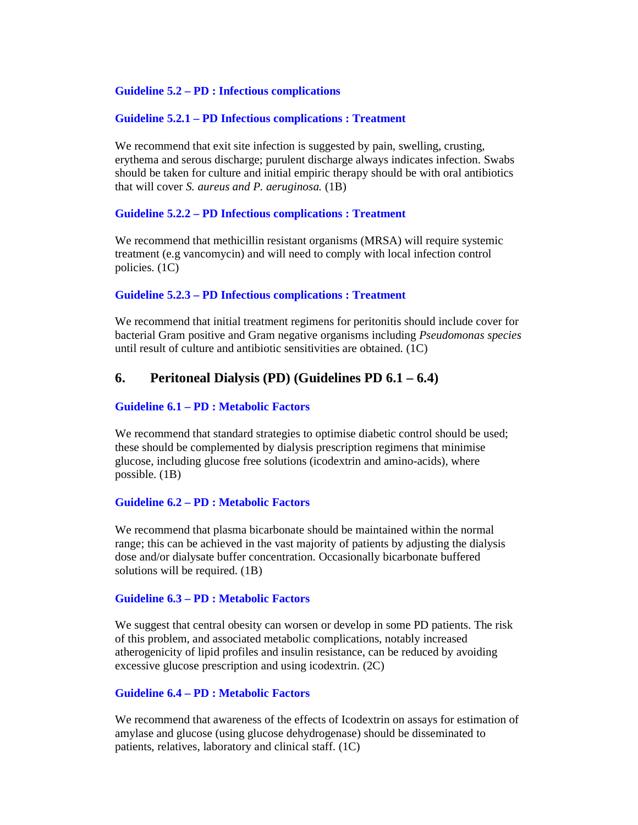### **Guideline 5.2 – PD : Infectious complications**

#### **Guideline 5.2.1 – PD Infectious complications : Treatment**

We recommend that exit site infection is suggested by pain, swelling, crusting, erythema and serous discharge; purulent discharge always indicates infection. Swabs should be taken for culture and initial empiric therapy should be with oral antibiotics that will cover *S. aureus and P. aeruginosa.* (1B)

### **Guideline 5.2.2 – PD Infectious complications : Treatment**

We recommend that methicillin resistant organisms (MRSA) will require systemic treatment (e.g vancomycin) and will need to comply with local infection control policies. (1C)

### **Guideline 5.2.3 – PD Infectious complications : Treatment**

We recommend that initial treatment regimens for peritonitis should include cover for bacterial Gram positive and Gram negative organisms including *Pseudomonas species* until result of culture and antibiotic sensitivities are obtained. (1C)

## **6. Peritoneal Dialysis (PD) (Guidelines PD 6.1 – 6.4)**

## **Guideline 6.1 – PD : Metabolic Factors**

We recommend that standard strategies to optimise diabetic control should be used; these should be complemented by dialysis prescription regimens that minimise glucose, including glucose free solutions (icodextrin and amino-acids), where possible. (1B)

#### **Guideline 6.2 – PD : Metabolic Factors**

We recommend that plasma bicarbonate should be maintained within the normal range; this can be achieved in the vast majority of patients by adjusting the dialysis dose and/or dialysate buffer concentration. Occasionally bicarbonate buffered solutions will be required. (1B)

### **Guideline 6.3 – PD : Metabolic Factors**

We suggest that central obesity can worsen or develop in some PD patients. The risk of this problem, and associated metabolic complications, notably increased atherogenicity of lipid profiles and insulin resistance, can be reduced by avoiding excessive glucose prescription and using icodextrin. (2C)

## **Guideline 6.4 – PD : Metabolic Factors**

We recommend that awareness of the effects of Icodextrin on assays for estimation of amylase and glucose (using glucose dehydrogenase) should be disseminated to patients, relatives, laboratory and clinical staff. (1C)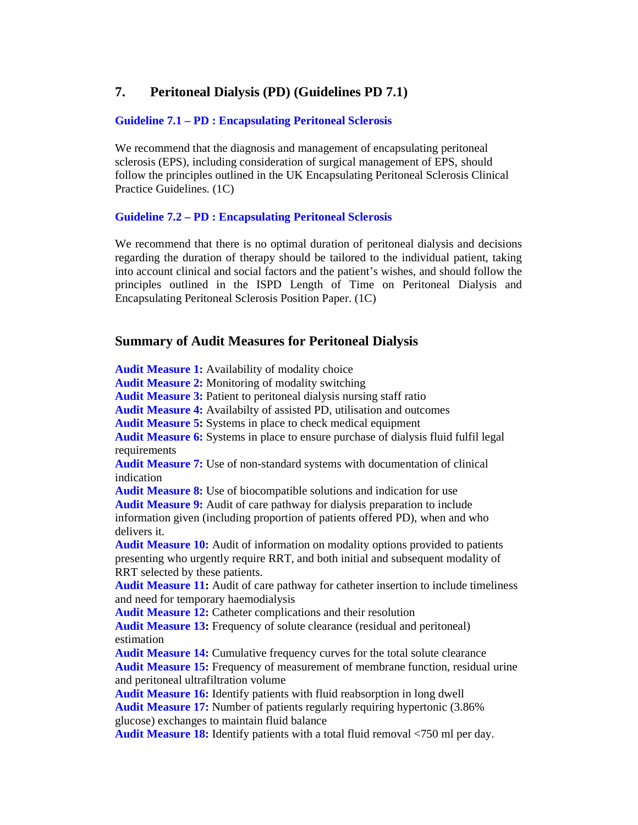# **7. Peritoneal Dialysis (PD) (Guidelines PD 7.1)**

### **Guideline 7.1 – PD : Encapsulating Peritoneal Sclerosis**

We recommend that the diagnosis and management of encapsulating peritoneal sclerosis (EPS), including consideration of surgical management of EPS, should follow the principles outlined in the UK Encapsulating Peritoneal Sclerosis Clinical Practice Guidelines. (1C)

## **Guideline 7.2 – PD : Encapsulating Peritoneal Sclerosis**

We recommend that there is no optimal duration of peritoneal dialysis and decisions regarding the duration of therapy should be tailored to the individual patient, taking into account clinical and social factors and the patient's wishes, and should follow the principles outlined in the ISPD Length of Time on Peritoneal Dialysis and Encapsulating Peritoneal Sclerosis Position Paper. (1C)

## **Summary of Audit Measures for Peritoneal Dialysis**

**Audit Measure 1:** Availability of modality choice

**Audit Measure 2:** Monitoring of modality switching

**Audit Measure 3:** Patient to peritoneal dialysis nursing staff ratio

**Audit Measure 4:** Availabilty of assisted PD, utilisation and outcomes

**Audit Measure 5:** Systems in place to check medical equipment

**Audit Measure 6:** Systems in place to ensure purchase of dialysis fluid fulfil legal requirements

**Audit Measure 7:** Use of non-standard systems with documentation of clinical indication

**Audit Measure 8:** Use of biocompatible solutions and indication for use

**Audit Measure 9:** Audit of care pathway for dialysis preparation to include information given (including proportion of patients offered PD), when and who delivers it.

**Audit Measure 10:** Audit of information on modality options provided to patients presenting who urgently require RRT, and both initial and subsequent modality of RRT selected by these patients.

**Audit Measure 11:** Audit of care pathway for catheter insertion to include timeliness and need for temporary haemodialysis

**Audit Measure 12:** Catheter complications and their resolution

**Audit Measure 13:** Frequency of solute clearance (residual and peritoneal) estimation

**Audit Measure 14:** Cumulative frequency curves for the total solute clearance **Audit Measure 15:** Frequency of measurement of membrane function, residual urine and peritoneal ultrafiltration volume

**Audit Measure 16:** Identify patients with fluid reabsorption in long dwell **Audit Measure 17:** Number of patients regularly requiring hypertonic (3.86% glucose) exchanges to maintain fluid balance

**Audit Measure 18:** Identify patients with a total fluid removal <750 ml per day.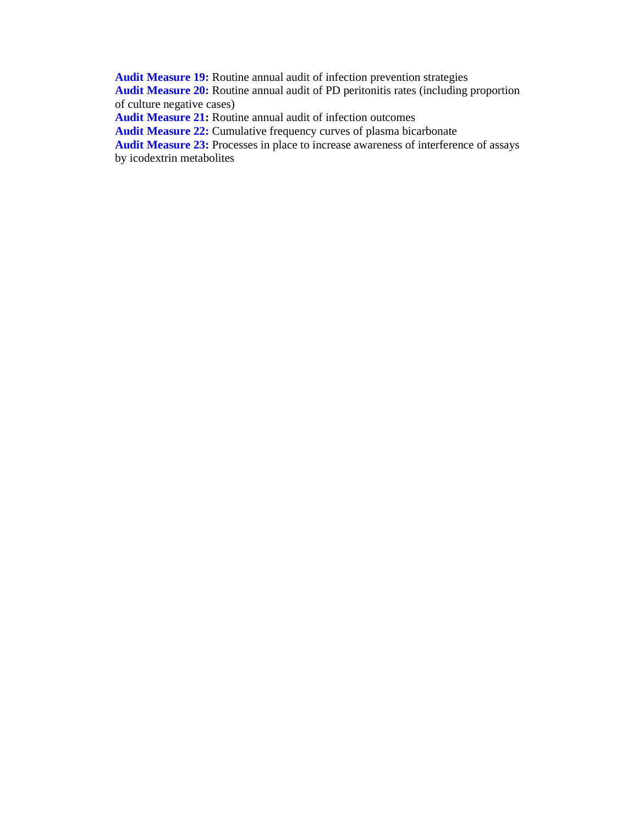**Audit Measure 19:** Routine annual audit of infection prevention strategies **Audit Measure 20:** Routine annual audit of PD peritonitis rates (including proportion of culture negative cases)

**Audit Measure 21:** Routine annual audit of infection outcomes

**Audit Measure 22:** Cumulative frequency curves of plasma bicarbonate

**Audit Measure 23:** Processes in place to increase awareness of interference of assays by icodextrin metabolites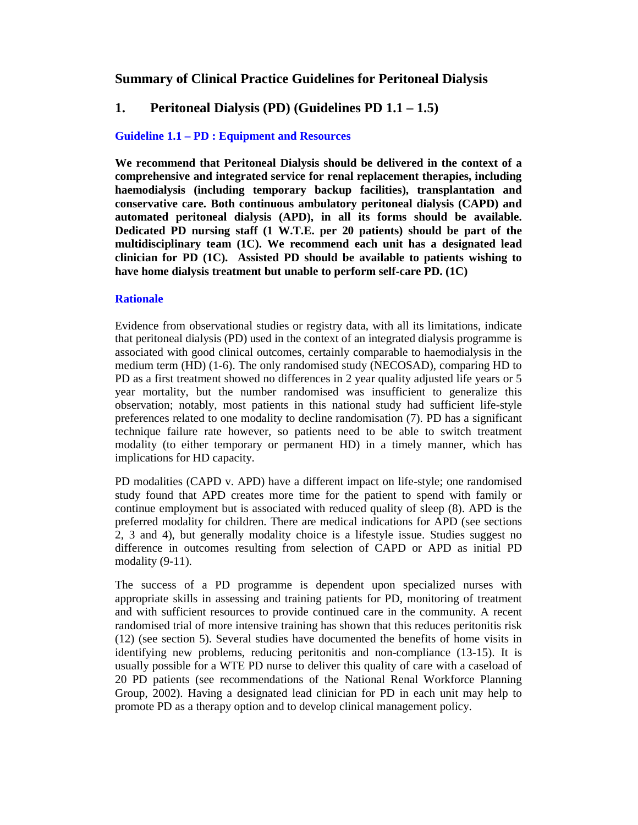# **Summary of Clinical Practice Guidelines for Peritoneal Dialysis**

# **1. Peritoneal Dialysis (PD) (Guidelines PD 1.1 – 1.5)**

## **Guideline 1.1 – PD : Equipment and Resources**

**We recommend that Peritoneal Dialysis should be delivered in the context of a comprehensive and integrated service for renal replacement therapies, including haemodialysis (including temporary backup facilities), transplantation and conservative care. Both continuous ambulatory peritoneal dialysis (CAPD) and automated peritoneal dialysis (APD), in all its forms should be available. Dedicated PD nursing staff (1 W.T.E. per 20 patients) should be part of the multidisciplinary team (1C). We recommend each unit has a designated lead clinician for PD (1C). Assisted PD should be available to patients wishing to have home dialysis treatment but unable to perform self-care PD. (1C)** 

### **Rationale**

Evidence from observational studies or registry data, with all its limitations, indicate that peritoneal dialysis (PD) used in the context of an integrated dialysis programme is associated with good clinical outcomes, certainly comparable to haemodialysis in the medium term (HD) (1-6). The only randomised study (NECOSAD), comparing HD to PD as a first treatment showed no differences in 2 year quality adjusted life years or 5 year mortality, but the number randomised was insufficient to generalize this observation; notably, most patients in this national study had sufficient life-style preferences related to one modality to decline randomisation (7). PD has a significant technique failure rate however, so patients need to be able to switch treatment modality (to either temporary or permanent HD) in a timely manner, which has implications for HD capacity.

PD modalities (CAPD v. APD) have a different impact on life-style; one randomised study found that APD creates more time for the patient to spend with family or continue employment but is associated with reduced quality of sleep (8). APD is the preferred modality for children. There are medical indications for APD (see sections 2, 3 and 4), but generally modality choice is a lifestyle issue. Studies suggest no difference in outcomes resulting from selection of CAPD or APD as initial PD modality  $(9-11)$ .

The success of a PD programme is dependent upon specialized nurses with appropriate skills in assessing and training patients for PD, monitoring of treatment and with sufficient resources to provide continued care in the community. A recent randomised trial of more intensive training has shown that this reduces peritonitis risk (12) (see section 5). Several studies have documented the benefits of home visits in identifying new problems, reducing peritonitis and non-compliance (13-15). It is usually possible for a WTE PD nurse to deliver this quality of care with a caseload of 20 PD patients (see recommendations of the National Renal Workforce Planning Group, 2002). Having a designated lead clinician for PD in each unit may help to promote PD as a therapy option and to develop clinical management policy.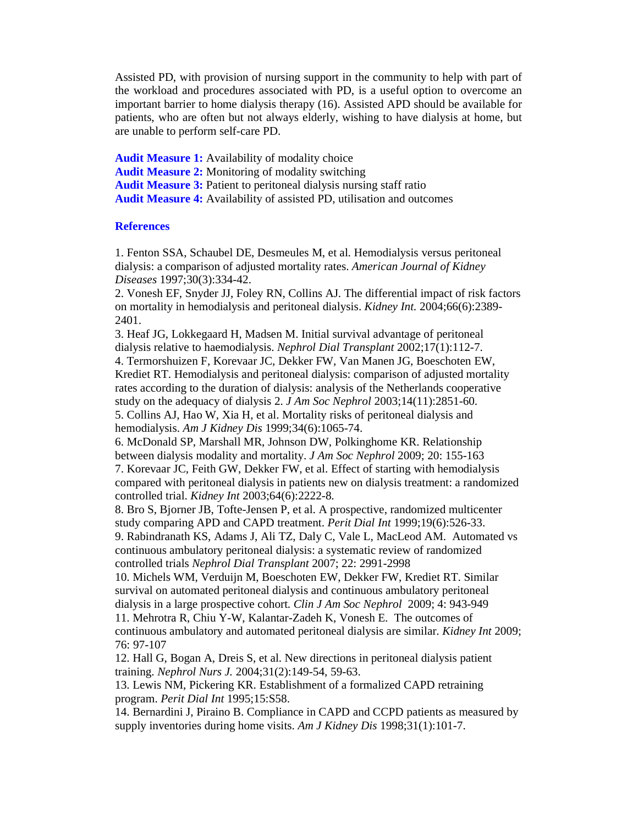Assisted PD, with provision of nursing support in the community to help with part of the workload and procedures associated with PD, is a useful option to overcome an important barrier to home dialysis therapy (16). Assisted APD should be available for patients, who are often but not always elderly, wishing to have dialysis at home, but are unable to perform self-care PD.

**Audit Measure 1:** Availability of modality choice **Audit Measure 2:** Monitoring of modality switching **Audit Measure 3:** Patient to peritoneal dialysis nursing staff ratio **Audit Measure 4:** Availability of assisted PD, utilisation and outcomes

#### **References**

1. Fenton SSA, Schaubel DE, Desmeules M, et al. Hemodialysis versus peritoneal dialysis: a comparison of adjusted mortality rates. *American Journal of Kidney Diseases* 1997;30(3):334-42.

2. Vonesh EF, Snyder JJ, Foley RN, Collins AJ. The differential impact of risk factors on mortality in hemodialysis and peritoneal dialysis. *Kidney Int.* 2004;66(6):2389- 2401.

3. Heaf JG, Lokkegaard H, Madsen M. Initial survival advantage of peritoneal dialysis relative to haemodialysis. *Nephrol Dial Transplant* 2002;17(1):112-7. 4. Termorshuizen F, Korevaar JC, Dekker FW, Van Manen JG, Boeschoten EW, Krediet RT. Hemodialysis and peritoneal dialysis: comparison of adjusted mortality rates according to the duration of dialysis: analysis of the Netherlands cooperative study on the adequacy of dialysis 2. *J Am Soc Nephrol* 2003;14(11):2851-60. 5. Collins AJ, Hao W, Xia H, et al. Mortality risks of peritoneal dialysis and hemodialysis. *Am J Kidney Dis* 1999;34(6):1065-74.

6. McDonald SP, Marshall MR, Johnson DW, Polkinghome KR. Relationship between dialysis modality and mortality. *J Am Soc Nephrol* 2009; 20: 155-163 7. Korevaar JC, Feith GW, Dekker FW, et al. Effect of starting with hemodialysis compared with peritoneal dialysis in patients new on dialysis treatment: a randomized controlled trial. *Kidney Int* 2003;64(6):2222-8.

8. Bro S, Bjorner JB, Tofte-Jensen P, et al. A prospective, randomized multicenter study comparing APD and CAPD treatment. *Perit Dial Int* 1999;19(6):526-33.

9. Rabindranath KS, Adams J, Ali TZ, Daly C, Vale L, MacLeod AM. Automated vs continuous ambulatory peritoneal dialysis: a systematic review of randomized controlled trials *Nephrol Dial Transplant* 2007; 22: 2991-2998

10. Michels WM, Verduijn M, Boeschoten EW, Dekker FW, Krediet RT. Similar survival on automated peritoneal dialysis and continuous ambulatory peritoneal dialysis in a large prospective cohort. *Clin J Am Soc Nephrol* 2009; 4: 943-949

11. Mehrotra R, Chiu Y-W, Kalantar-Zadeh K, Vonesh E. The outcomes of continuous ambulatory and automated peritoneal dialysis are similar. *Kidney Int* 2009; 76: 97-107

12. Hall G, Bogan A, Dreis S, et al. New directions in peritoneal dialysis patient training. *Nephrol Nurs J.* 2004;31(2):149-54, 59-63.

13. Lewis NM, Pickering KR. Establishment of a formalized CAPD retraining program. *Perit Dial Int* 1995;15:S58.

14. Bernardini J, Piraino B. Compliance in CAPD and CCPD patients as measured by supply inventories during home visits. *Am J Kidney Dis* 1998;31(1):101-7.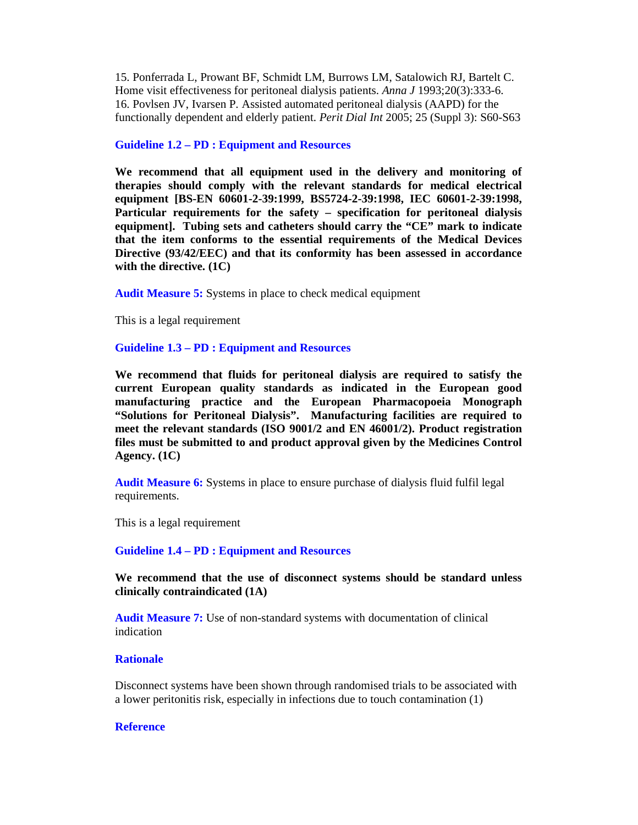15. Ponferrada L, Prowant BF, Schmidt LM, Burrows LM, Satalowich RJ, Bartelt C. Home visit effectiveness for peritoneal dialysis patients. *Anna J* 1993;20(3):333-6. 16. Povlsen JV, Ivarsen P. Assisted automated peritoneal dialysis (AAPD) for the functionally dependent and elderly patient. *Perit Dial Int* 2005; 25 (Suppl 3): S60-S63

#### **Guideline 1.2 – PD : Equipment and Resources**

**We recommend that all equipment used in the delivery and monitoring of therapies should comply with the relevant standards for medical electrical equipment [BS-EN 60601-2-39:1999, BS5724-2-39:1998, IEC 60601-2-39:1998, Particular requirements for the safety – specification for peritoneal dialysis equipment]. Tubing sets and catheters should carry the "CE" mark to indicate that the item conforms to the essential requirements of the Medical Devices Directive (93/42/EEC) and that its conformity has been assessed in accordance with the directive. (1C)** 

**Audit Measure 5:** Systems in place to check medical equipment

This is a legal requirement

#### **Guideline 1.3 – PD : Equipment and Resources**

**We recommend that fluids for peritoneal dialysis are required to satisfy the current European quality standards as indicated in the European good manufacturing practice and the European Pharmacopoeia Monograph "Solutions for Peritoneal Dialysis". Manufacturing facilities are required to meet the relevant standards (ISO 9001/2 and EN 46001/2). Product registration files must be submitted to and product approval given by the Medicines Control Agency. (1C)** 

**Audit Measure 6:** Systems in place to ensure purchase of dialysis fluid fulfil legal requirements.

This is a legal requirement

#### **Guideline 1.4 – PD : Equipment and Resources**

**We recommend that the use of disconnect systems should be standard unless clinically contraindicated (1A)** 

**Audit Measure 7:** Use of non-standard systems with documentation of clinical indication

## **Rationale**

Disconnect systems have been shown through randomised trials to be associated with a lower peritonitis risk, especially in infections due to touch contamination (1)

#### **Reference**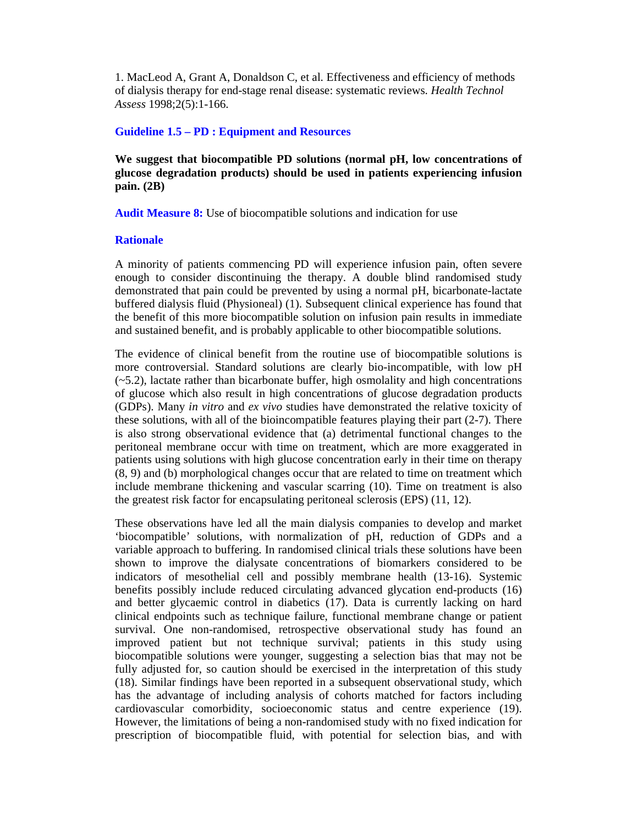1. MacLeod A, Grant A, Donaldson C, et al. Effectiveness and efficiency of methods of dialysis therapy for end-stage renal disease: systematic reviews. *Health Technol Assess* 1998;2(5):1-166.

## **Guideline 1.5 – PD : Equipment and Resources**

**We suggest that biocompatible PD solutions (normal pH, low concentrations of glucose degradation products) should be used in patients experiencing infusion pain. (2B)** 

**Audit Measure 8:** Use of biocompatible solutions and indication for use

#### **Rationale**

A minority of patients commencing PD will experience infusion pain, often severe enough to consider discontinuing the therapy. A double blind randomised study demonstrated that pain could be prevented by using a normal pH, bicarbonate-lactate buffered dialysis fluid (Physioneal) (1). Subsequent clinical experience has found that the benefit of this more biocompatible solution on infusion pain results in immediate and sustained benefit, and is probably applicable to other biocompatible solutions.

The evidence of clinical benefit from the routine use of biocompatible solutions is more controversial. Standard solutions are clearly bio-incompatible, with low pH  $(-5.2)$ , lactate rather than bicarbonate buffer, high osmolality and high concentrations of glucose which also result in high concentrations of glucose degradation products (GDPs). Many *in vitro* and *ex vivo* studies have demonstrated the relative toxicity of these solutions, with all of the bioincompatible features playing their part (2-7). There is also strong observational evidence that (a) detrimental functional changes to the peritoneal membrane occur with time on treatment, which are more exaggerated in patients using solutions with high glucose concentration early in their time on therapy (8, 9) and (b) morphological changes occur that are related to time on treatment which include membrane thickening and vascular scarring (10). Time on treatment is also the greatest risk factor for encapsulating peritoneal sclerosis (EPS) (11, 12).

These observations have led all the main dialysis companies to develop and market 'biocompatible' solutions, with normalization of pH, reduction of GDPs and a variable approach to buffering. In randomised clinical trials these solutions have been shown to improve the dialysate concentrations of biomarkers considered to be indicators of mesothelial cell and possibly membrane health (13-16). Systemic benefits possibly include reduced circulating advanced glycation end-products (16) and better glycaemic control in diabetics (17). Data is currently lacking on hard clinical endpoints such as technique failure, functional membrane change or patient survival. One non-randomised, retrospective observational study has found an improved patient but not technique survival; patients in this study using biocompatible solutions were younger, suggesting a selection bias that may not be fully adjusted for, so caution should be exercised in the interpretation of this study (18). Similar findings have been reported in a subsequent observational study, which has the advantage of including analysis of cohorts matched for factors including cardiovascular comorbidity, socioeconomic status and centre experience (19). However, the limitations of being a non-randomised study with no fixed indication for prescription of biocompatible fluid, with potential for selection bias, and with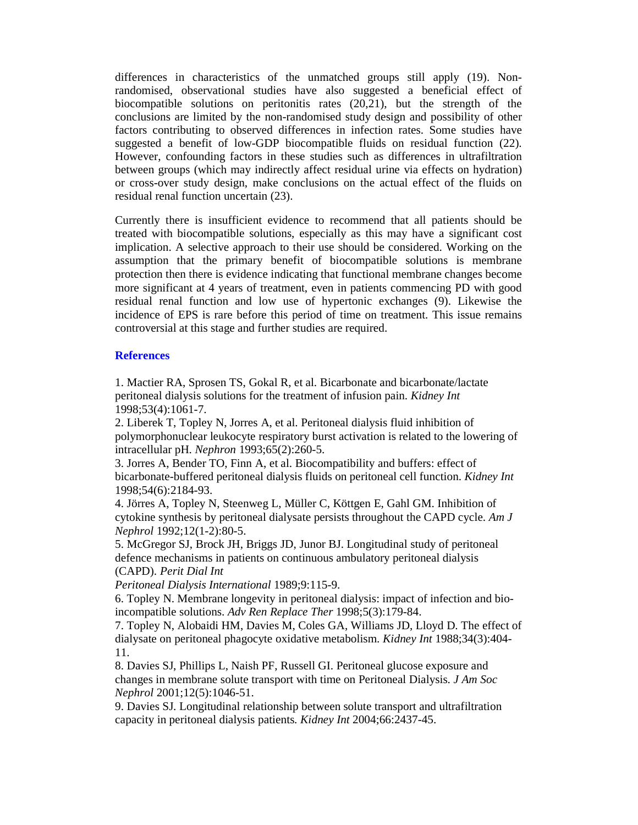differences in characteristics of the unmatched groups still apply (19). Nonrandomised, observational studies have also suggested a beneficial effect of biocompatible solutions on peritonitis rates (20,21), but the strength of the conclusions are limited by the non-randomised study design and possibility of other factors contributing to observed differences in infection rates. Some studies have suggested a benefit of low-GDP biocompatible fluids on residual function (22). However, confounding factors in these studies such as differences in ultrafiltration between groups (which may indirectly affect residual urine via effects on hydration) or cross-over study design, make conclusions on the actual effect of the fluids on residual renal function uncertain (23).

Currently there is insufficient evidence to recommend that all patients should be treated with biocompatible solutions, especially as this may have a significant cost implication. A selective approach to their use should be considered. Working on the assumption that the primary benefit of biocompatible solutions is membrane protection then there is evidence indicating that functional membrane changes become more significant at 4 years of treatment, even in patients commencing PD with good residual renal function and low use of hypertonic exchanges (9). Likewise the incidence of EPS is rare before this period of time on treatment. This issue remains controversial at this stage and further studies are required.

## **References**

1. Mactier RA, Sprosen TS, Gokal R, et al. Bicarbonate and bicarbonate/lactate peritoneal dialysis solutions for the treatment of infusion pain. *Kidney Int* 1998;53(4):1061-7.

2. Liberek T, Topley N, Jorres A, et al. Peritoneal dialysis fluid inhibition of polymorphonuclear leukocyte respiratory burst activation is related to the lowering of intracellular pH. *Nephron* 1993;65(2):260-5.

3. Jorres A, Bender TO, Finn A, et al. Biocompatibility and buffers: effect of bicarbonate-buffered peritoneal dialysis fluids on peritoneal cell function. *Kidney Int* 1998;54(6):2184-93.

4. Jörres A, Topley N, Steenweg L, Müller C, Köttgen E, Gahl GM. Inhibition of cytokine synthesis by peritoneal dialysate persists throughout the CAPD cycle. *Am J Nephrol* 1992;12(1-2):80-5.

5. McGregor SJ, Brock JH, Briggs JD, Junor BJ. Longitudinal study of peritoneal defence mechanisms in patients on continuous ambulatory peritoneal dialysis (CAPD). *Perit Dial Int* 

*Peritoneal Dialysis International* 1989;9:115-9.

6. Topley N. Membrane longevity in peritoneal dialysis: impact of infection and bioincompatible solutions. *Adv Ren Replace Ther* 1998;5(3):179-84.

7. Topley N, Alobaidi HM, Davies M, Coles GA, Williams JD, Lloyd D. The effect of dialysate on peritoneal phagocyte oxidative metabolism. *Kidney Int* 1988;34(3):404- 11.

8. Davies SJ, Phillips L, Naish PF, Russell GI. Peritoneal glucose exposure and changes in membrane solute transport with time on Peritoneal Dialysis. *J Am Soc Nephrol* 2001;12(5):1046-51.

9. Davies SJ. Longitudinal relationship between solute transport and ultrafiltration capacity in peritoneal dialysis patients. *Kidney Int* 2004;66:2437-45.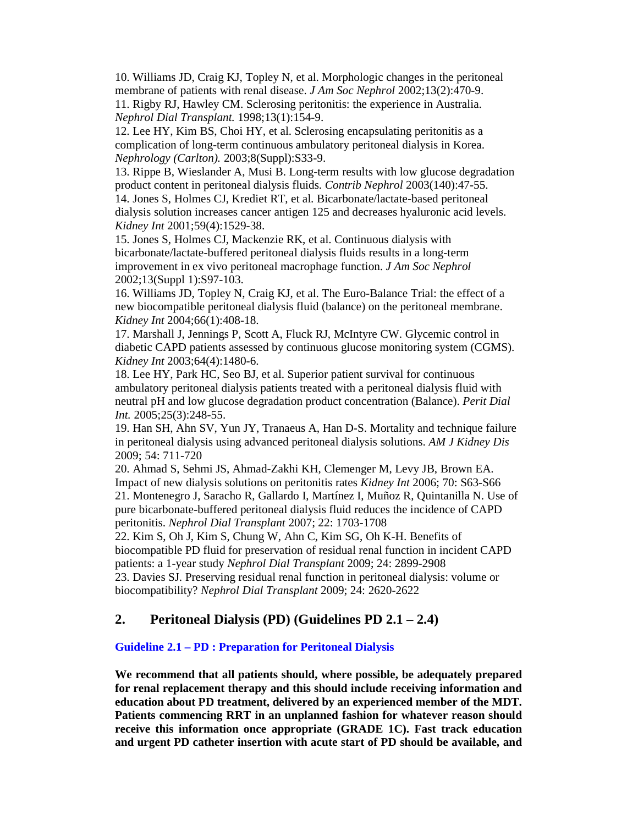10. Williams JD, Craig KJ, Topley N, et al. Morphologic changes in the peritoneal membrane of patients with renal disease. *J Am Soc Nephrol* 2002;13(2):470-9. 11. Rigby RJ, Hawley CM. Sclerosing peritonitis: the experience in Australia. *Nephrol Dial Transplant.* 1998;13(1):154-9.

12. Lee HY, Kim BS, Choi HY, et al. Sclerosing encapsulating peritonitis as a complication of long-term continuous ambulatory peritoneal dialysis in Korea. *Nephrology (Carlton).* 2003;8(Suppl):S33-9.

13. Rippe B, Wieslander A, Musi B. Long-term results with low glucose degradation product content in peritoneal dialysis fluids. *Contrib Nephrol* 2003(140):47-55. 14. Jones S, Holmes CJ, Krediet RT, et al. Bicarbonate/lactate-based peritoneal dialysis solution increases cancer antigen 125 and decreases hyaluronic acid levels. *Kidney Int* 2001;59(4):1529-38.

15. Jones S, Holmes CJ, Mackenzie RK, et al. Continuous dialysis with bicarbonate/lactate-buffered peritoneal dialysis fluids results in a long-term improvement in ex vivo peritoneal macrophage function. *J Am Soc Nephrol* 2002;13(Suppl 1):S97-103.

16. Williams JD, Topley N, Craig KJ, et al. The Euro-Balance Trial: the effect of a new biocompatible peritoneal dialysis fluid (balance) on the peritoneal membrane. *Kidney Int* 2004;66(1):408-18.

17. Marshall J, Jennings P, Scott A, Fluck RJ, McIntyre CW. Glycemic control in diabetic CAPD patients assessed by continuous glucose monitoring system (CGMS). *Kidney Int* 2003;64(4):1480-6.

18. Lee HY, Park HC, Seo BJ, et al. Superior patient survival for continuous ambulatory peritoneal dialysis patients treated with a peritoneal dialysis fluid with neutral pH and low glucose degradation product concentration (Balance). *Perit Dial Int.* 2005;25(3):248-55.

19. Han SH, Ahn SV, Yun JY, Tranaeus A, Han D-S. Mortality and technique failure in peritoneal dialysis using advanced peritoneal dialysis solutions. *AM J Kidney Dis* 2009; 54: 711-720

20. Ahmad S, Sehmi JS, Ahmad-Zakhi KH, Clemenger M, Levy JB, Brown EA. Impact of new dialysis solutions on peritonitis rates *Kidney Int* 2006; 70: S63-S66 21. Montenegro J, Saracho R, Gallardo I, Martínez I, Muñoz R, Quintanilla N. Use of pure bicarbonate-buffered peritoneal dialysis fluid reduces the incidence of CAPD peritonitis. *Nephrol Dial Transplant* 2007; 22: 1703-1708

22. Kim S, Oh J, Kim S, Chung W, Ahn C, Kim SG, Oh K-H. Benefits of biocompatible PD fluid for preservation of residual renal function in incident CAPD patients: a 1-year study *Nephrol Dial Transplant* 2009; 24: 2899-2908

23. Davies SJ. Preserving residual renal function in peritoneal dialysis: volume or biocompatibility? *Nephrol Dial Transplant* 2009; 24: 2620-2622

## **2. Peritoneal Dialysis (PD) (Guidelines PD 2.1 – 2.4)**

## **Guideline 2.1 – PD : Preparation for Peritoneal Dialysis**

**We recommend that all patients should, where possible, be adequately prepared for renal replacement therapy and this should include receiving information and education about PD treatment, delivered by an experienced member of the MDT. Patients commencing RRT in an unplanned fashion for whatever reason should receive this information once appropriate (GRADE 1C). Fast track education and urgent PD catheter insertion with acute start of PD should be available, and**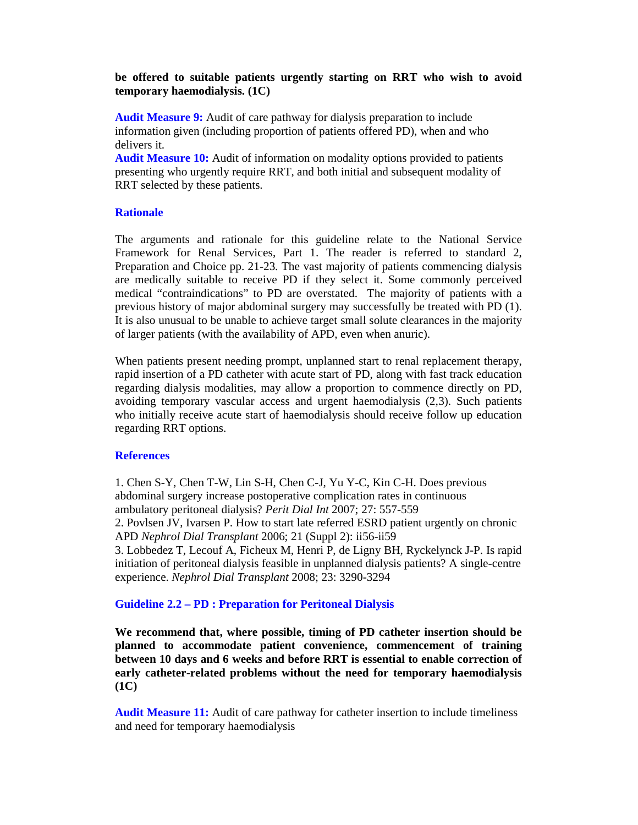## **be offered to suitable patients urgently starting on RRT who wish to avoid temporary haemodialysis. (1C)**

**Audit Measure 9:** Audit of care pathway for dialysis preparation to include information given (including proportion of patients offered PD), when and who delivers it.

**Audit Measure 10:** Audit of information on modality options provided to patients presenting who urgently require RRT, and both initial and subsequent modality of RRT selected by these patients.

## **Rationale**

The arguments and rationale for this guideline relate to the National Service Framework for Renal Services, Part 1. The reader is referred to standard 2, Preparation and Choice pp. 21-23. The vast majority of patients commencing dialysis are medically suitable to receive PD if they select it. Some commonly perceived medical "contraindications" to PD are overstated. The majority of patients with a previous history of major abdominal surgery may successfully be treated with PD (1). It is also unusual to be unable to achieve target small solute clearances in the majority of larger patients (with the availability of APD, even when anuric).

When patients present needing prompt, unplanned start to renal replacement therapy, rapid insertion of a PD catheter with acute start of PD, along with fast track education regarding dialysis modalities, may allow a proportion to commence directly on PD, avoiding temporary vascular access and urgent haemodialysis (2,3). Such patients who initially receive acute start of haemodialysis should receive follow up education regarding RRT options.

#### **References**

1. Chen S-Y, Chen T-W, Lin S-H, Chen C-J, Yu Y-C, Kin C-H. Does previous abdominal surgery increase postoperative complication rates in continuous ambulatory peritoneal dialysis? *Perit Dial Int* 2007; 27: 557-559 2. Povlsen JV, Ivarsen P. How to start late referred ESRD patient urgently on chronic APD *Nephrol Dial Transplant* 2006; 21 (Suppl 2): ii56-ii59 3. Lobbedez T, Lecouf A, Ficheux M, Henri P, de Ligny BH, Ryckelynck J-P. Is rapid initiation of peritoneal dialysis feasible in unplanned dialysis patients? A single-centre experience. *Nephrol Dial Transplant* 2008; 23: 3290-3294

## **Guideline 2.2 – PD : Preparation for Peritoneal Dialysis**

**We recommend that, where possible, timing of PD catheter insertion should be planned to accommodate patient convenience, commencement of training between 10 days and 6 weeks and before RRT is essential to enable correction of early catheter-related problems without the need for temporary haemodialysis (1C)** 

**Audit Measure 11:** Audit of care pathway for catheter insertion to include timeliness and need for temporary haemodialysis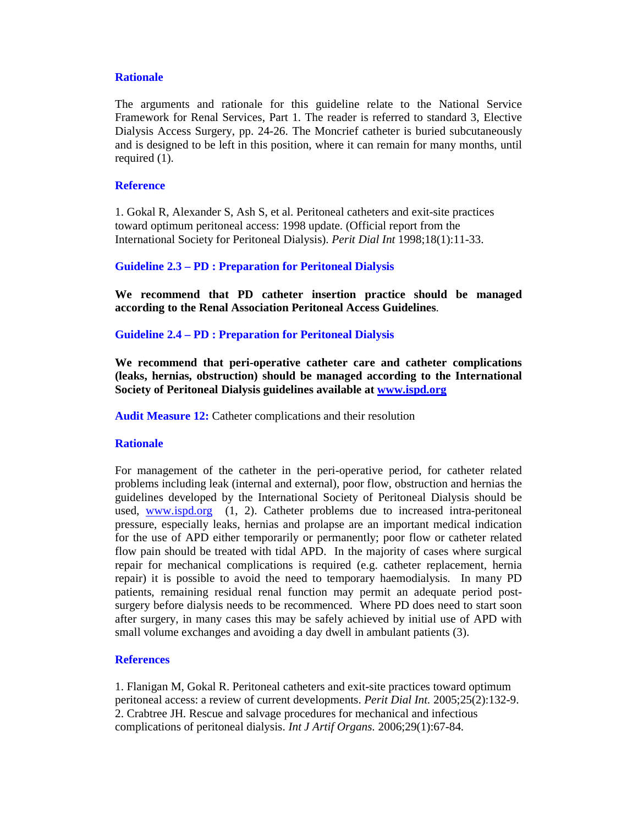### **Rationale**

The arguments and rationale for this guideline relate to the National Service Framework for Renal Services, Part 1. The reader is referred to standard 3, Elective Dialysis Access Surgery, pp. 24-26. The Moncrief catheter is buried subcutaneously and is designed to be left in this position, where it can remain for many months, until required (1).

#### **Reference**

1. Gokal R, Alexander S, Ash S, et al. Peritoneal catheters and exit-site practices toward optimum peritoneal access: 1998 update. (Official report from the International Society for Peritoneal Dialysis). *Perit Dial Int* 1998;18(1):11-33.

#### **Guideline 2.3 – PD : Preparation for Peritoneal Dialysis**

**We recommend that PD catheter insertion practice should be managed according to the Renal Association Peritoneal Access Guidelines**.

#### **Guideline 2.4 – PD : Preparation for Peritoneal Dialysis**

**We recommend that peri-operative catheter care and catheter complications (leaks, hernias, obstruction) should be managed according to the International Society of Peritoneal Dialysis guidelines available at www.ispd.org**

**Audit Measure 12:** Catheter complications and their resolution

#### **Rationale**

For management of the catheter in the peri-operative period, for catheter related problems including leak (internal and external), poor flow, obstruction and hernias the guidelines developed by the International Society of Peritoneal Dialysis should be used, www.ispd.org (1, 2). Catheter problems due to increased intra-peritoneal pressure, especially leaks, hernias and prolapse are an important medical indication for the use of APD either temporarily or permanently; poor flow or catheter related flow pain should be treated with tidal APD. In the majority of cases where surgical repair for mechanical complications is required (e.g. catheter replacement, hernia repair) it is possible to avoid the need to temporary haemodialysis. In many PD patients, remaining residual renal function may permit an adequate period postsurgery before dialysis needs to be recommenced. Where PD does need to start soon after surgery, in many cases this may be safely achieved by initial use of APD with small volume exchanges and avoiding a day dwell in ambulant patients (3).

#### **References**

1. Flanigan M, Gokal R. Peritoneal catheters and exit-site practices toward optimum peritoneal access: a review of current developments. *Perit Dial Int.* 2005;25(2):132-9. 2. Crabtree JH. Rescue and salvage procedures for mechanical and infectious complications of peritoneal dialysis. *Int J Artif Organs.* 2006;29(1):67-84.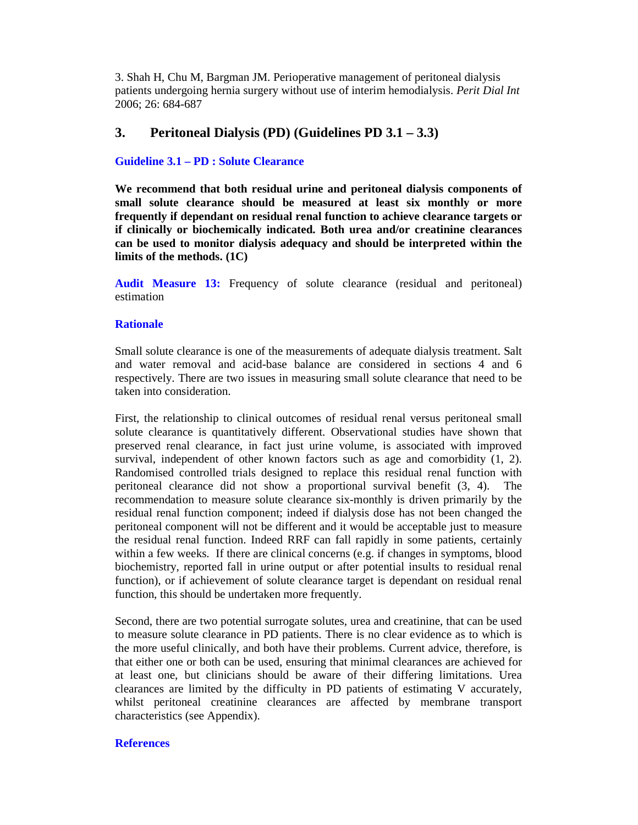3. Shah H, Chu M, Bargman JM. Perioperative management of peritoneal dialysis patients undergoing hernia surgery without use of interim hemodialysis. *Perit Dial Int*  2006; 26: 684-687

## **3. Peritoneal Dialysis (PD) (Guidelines PD 3.1 – 3.3)**

## **Guideline 3.1 – PD : Solute Clearance**

**We recommend that both residual urine and peritoneal dialysis components of small solute clearance should be measured at least six monthly or more frequently if dependant on residual renal function to achieve clearance targets or if clinically or biochemically indicated. Both urea and/or creatinine clearances can be used to monitor dialysis adequacy and should be interpreted within the limits of the methods. (1C)** 

**Audit Measure 13:** Frequency of solute clearance (residual and peritoneal) estimation

### **Rationale**

Small solute clearance is one of the measurements of adequate dialysis treatment. Salt and water removal and acid-base balance are considered in sections 4 and 6 respectively. There are two issues in measuring small solute clearance that need to be taken into consideration.

First, the relationship to clinical outcomes of residual renal versus peritoneal small solute clearance is quantitatively different. Observational studies have shown that preserved renal clearance, in fact just urine volume, is associated with improved survival, independent of other known factors such as age and comorbidity  $(1, 2)$ . Randomised controlled trials designed to replace this residual renal function with peritoneal clearance did not show a proportional survival benefit (3, 4). The recommendation to measure solute clearance six-monthly is driven primarily by the residual renal function component; indeed if dialysis dose has not been changed the peritoneal component will not be different and it would be acceptable just to measure the residual renal function. Indeed RRF can fall rapidly in some patients, certainly within a few weeks. If there are clinical concerns (e.g. if changes in symptoms, blood biochemistry, reported fall in urine output or after potential insults to residual renal function), or if achievement of solute clearance target is dependant on residual renal function, this should be undertaken more frequently.

Second, there are two potential surrogate solutes, urea and creatinine, that can be used to measure solute clearance in PD patients. There is no clear evidence as to which is the more useful clinically, and both have their problems. Current advice, therefore, is that either one or both can be used, ensuring that minimal clearances are achieved for at least one, but clinicians should be aware of their differing limitations. Urea clearances are limited by the difficulty in PD patients of estimating V accurately, whilst peritoneal creatinine clearances are affected by membrane transport characteristics (see Appendix).

#### **References**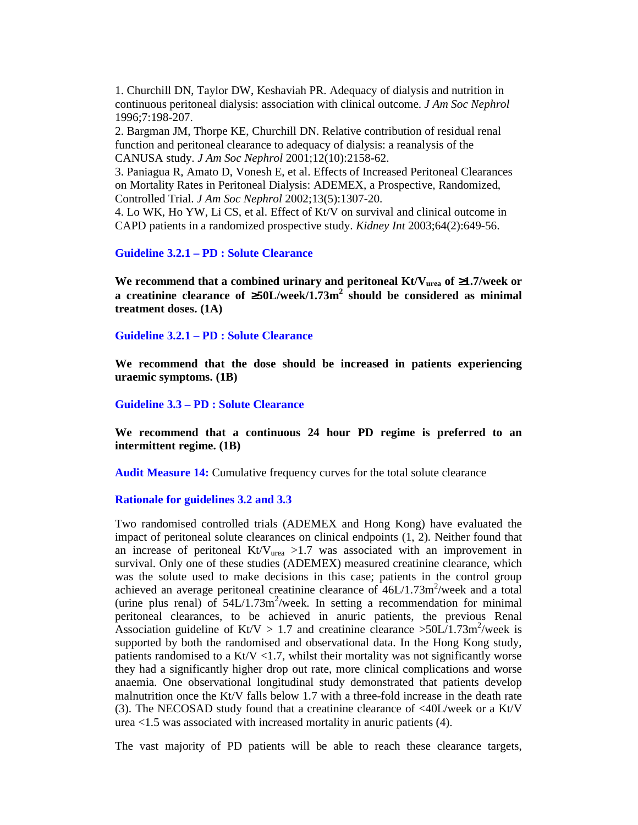1. Churchill DN, Taylor DW, Keshaviah PR. Adequacy of dialysis and nutrition in continuous peritoneal dialysis: association with clinical outcome. *J Am Soc Nephrol* 1996;7:198-207.

2. Bargman JM, Thorpe KE, Churchill DN. Relative contribution of residual renal function and peritoneal clearance to adequacy of dialysis: a reanalysis of the CANUSA study. *J Am Soc Nephrol* 2001;12(10):2158-62.

3. Paniagua R, Amato D, Vonesh E, et al. Effects of Increased Peritoneal Clearances on Mortality Rates in Peritoneal Dialysis: ADEMEX, a Prospective, Randomized, Controlled Trial. *J Am Soc Nephrol* 2002;13(5):1307-20.

4. Lo WK, Ho YW, Li CS, et al. Effect of Kt/V on survival and clinical outcome in CAPD patients in a randomized prospective study. *Kidney Int* 2003;64(2):649-56.

#### **Guideline 3.2.1 – PD : Solute Clearance**

We recommend that a combined urinary and peritoneal  $Kt/V<sub>urea</sub>$  of  $\geq$ 1.7/week or **a creatinine clearance of** ≥**50L/week/1.73m<sup>2</sup> should be considered as minimal treatment doses. (1A)** 

**Guideline 3.2.1 – PD : Solute Clearance** 

**We recommend that the dose should be increased in patients experiencing uraemic symptoms. (1B)** 

**Guideline 3.3 – PD : Solute Clearance** 

**We recommend that a continuous 24 hour PD regime is preferred to an intermittent regime. (1B)** 

**Audit Measure 14:** Cumulative frequency curves for the total solute clearance

#### **Rationale for guidelines 3.2 and 3.3**

Two randomised controlled trials (ADEMEX and Hong Kong) have evaluated the impact of peritoneal solute clearances on clinical endpoints (1, 2). Neither found that an increase of peritoneal  $Kt/V_{area} > 1.7$  was associated with an improvement in survival. Only one of these studies (ADEMEX) measured creatinine clearance, which was the solute used to make decisions in this case; patients in the control group achieved an average peritoneal creatinine clearance of  $46L/1.73m^2$ /week and a total (urine plus renal) of  $54L/1.73m^2$ /week. In setting a recommendation for minimal peritoneal clearances, to be achieved in anuric patients, the previous Renal Association guideline of Kt/V > 1.7 and creatinine clearance >50L $/1.73$ m<sup>2</sup>/week is supported by both the randomised and observational data. In the Hong Kong study, patients randomised to a Kt/V  $\langle 1.7$ , whilst their mortality was not significantly worse they had a significantly higher drop out rate, more clinical complications and worse anaemia. One observational longitudinal study demonstrated that patients develop malnutrition once the Kt/V falls below 1.7 with a three-fold increase in the death rate (3). The NECOSAD study found that a creatinine clearance of <40L/week or a Kt/V urea <1.5 was associated with increased mortality in anuric patients (4).

The vast majority of PD patients will be able to reach these clearance targets,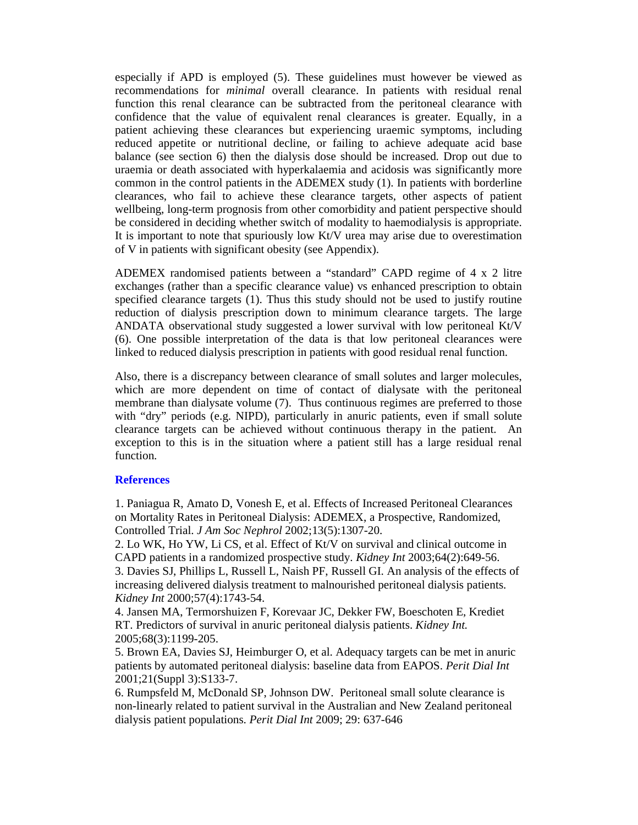especially if APD is employed (5). These guidelines must however be viewed as recommendations for *minimal* overall clearance. In patients with residual renal function this renal clearance can be subtracted from the peritoneal clearance with confidence that the value of equivalent renal clearances is greater. Equally, in a patient achieving these clearances but experiencing uraemic symptoms, including reduced appetite or nutritional decline, or failing to achieve adequate acid base balance (see section 6) then the dialysis dose should be increased. Drop out due to uraemia or death associated with hyperkalaemia and acidosis was significantly more common in the control patients in the ADEMEX study (1). In patients with borderline clearances, who fail to achieve these clearance targets, other aspects of patient wellbeing, long-term prognosis from other comorbidity and patient perspective should be considered in deciding whether switch of modality to haemodialysis is appropriate. It is important to note that spuriously low Kt/V urea may arise due to overestimation of V in patients with significant obesity (see Appendix).

ADEMEX randomised patients between a "standard" CAPD regime of 4 x 2 litre exchanges (rather than a specific clearance value) vs enhanced prescription to obtain specified clearance targets (1). Thus this study should not be used to justify routine reduction of dialysis prescription down to minimum clearance targets. The large ANDATA observational study suggested a lower survival with low peritoneal Kt/V (6). One possible interpretation of the data is that low peritoneal clearances were linked to reduced dialysis prescription in patients with good residual renal function.

Also, there is a discrepancy between clearance of small solutes and larger molecules, which are more dependent on time of contact of dialysate with the peritoneal membrane than dialysate volume (7). Thus continuous regimes are preferred to those with "dry" periods (e.g. NIPD), particularly in anuric patients, even if small solute clearance targets can be achieved without continuous therapy in the patient. An exception to this is in the situation where a patient still has a large residual renal function.

#### **References**

1. Paniagua R, Amato D, Vonesh E, et al. Effects of Increased Peritoneal Clearances on Mortality Rates in Peritoneal Dialysis: ADEMEX, a Prospective, Randomized, Controlled Trial. *J Am Soc Nephrol* 2002;13(5):1307-20.

2. Lo WK, Ho YW, Li CS, et al. Effect of Kt/V on survival and clinical outcome in CAPD patients in a randomized prospective study. *Kidney Int* 2003;64(2):649-56. 3. Davies SJ, Phillips L, Russell L, Naish PF, Russell GI. An analysis of the effects of increasing delivered dialysis treatment to malnourished peritoneal dialysis patients. *Kidney Int* 2000;57(4):1743-54.

4. Jansen MA, Termorshuizen F, Korevaar JC, Dekker FW, Boeschoten E, Krediet RT. Predictors of survival in anuric peritoneal dialysis patients. *Kidney Int.* 2005;68(3):1199-205.

5. Brown EA, Davies SJ, Heimburger O, et al. Adequacy targets can be met in anuric patients by automated peritoneal dialysis: baseline data from EAPOS. *Perit Dial Int* 2001;21(Suppl 3):S133-7.

6. Rumpsfeld M, McDonald SP, Johnson DW. Peritoneal small solute clearance is non-linearly related to patient survival in the Australian and New Zealand peritoneal dialysis patient populations. *Perit Dial Int* 2009; 29: 637-646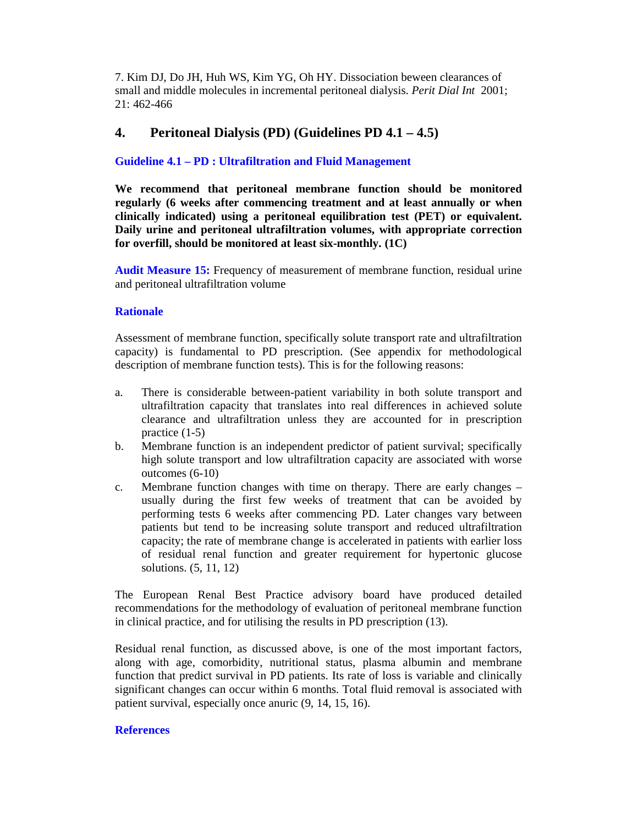7. Kim DJ, Do JH, Huh WS, Kim YG, Oh HY. Dissociation beween clearances of small and middle molecules in incremental peritoneal dialysis. *Perit Dial Int* 2001; 21: 462-466

# **4. Peritoneal Dialysis (PD) (Guidelines PD 4.1 – 4.5)**

## **Guideline 4.1 – PD : Ultrafiltration and Fluid Management**

**We recommend that peritoneal membrane function should be monitored regularly (6 weeks after commencing treatment and at least annually or when clinically indicated) using a peritoneal equilibration test (PET) or equivalent. Daily urine and peritoneal ultrafiltration volumes, with appropriate correction for overfill, should be monitored at least six-monthly. (1C)** 

**Audit Measure 15:** Frequency of measurement of membrane function, residual urine and peritoneal ultrafiltration volume

## **Rationale**

Assessment of membrane function, specifically solute transport rate and ultrafiltration capacity) is fundamental to PD prescription. (See appendix for methodological description of membrane function tests). This is for the following reasons:

- a. There is considerable between-patient variability in both solute transport and ultrafiltration capacity that translates into real differences in achieved solute clearance and ultrafiltration unless they are accounted for in prescription practice (1-5)
- b. Membrane function is an independent predictor of patient survival; specifically high solute transport and low ultrafiltration capacity are associated with worse outcomes (6-10)
- c. Membrane function changes with time on therapy. There are early changes usually during the first few weeks of treatment that can be avoided by performing tests 6 weeks after commencing PD. Later changes vary between patients but tend to be increasing solute transport and reduced ultrafiltration capacity; the rate of membrane change is accelerated in patients with earlier loss of residual renal function and greater requirement for hypertonic glucose solutions. (5, 11, 12)

The European Renal Best Practice advisory board have produced detailed recommendations for the methodology of evaluation of peritoneal membrane function in clinical practice, and for utilising the results in PD prescription (13).

Residual renal function, as discussed above, is one of the most important factors, along with age, comorbidity, nutritional status, plasma albumin and membrane function that predict survival in PD patients. Its rate of loss is variable and clinically significant changes can occur within 6 months. Total fluid removal is associated with patient survival, especially once anuric (9, 14, 15, 16).

## **References**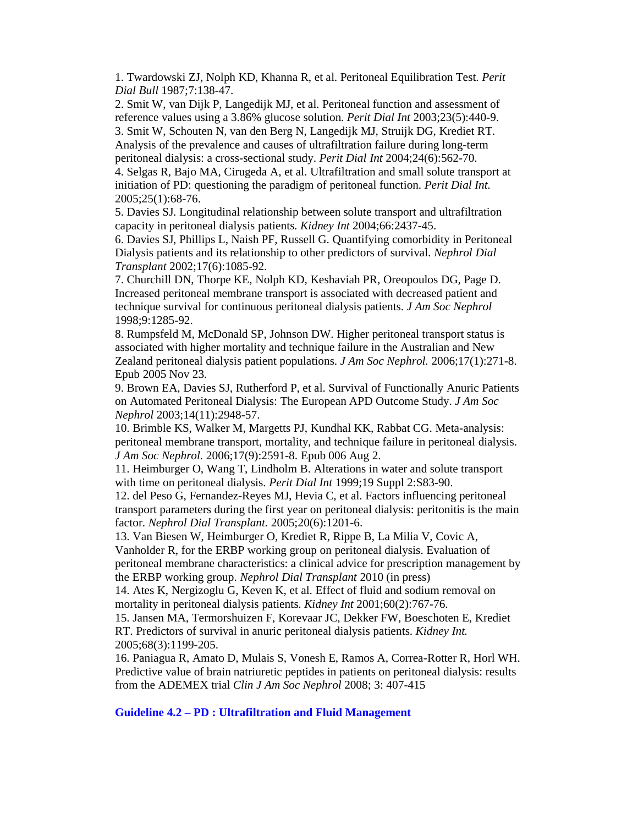1. Twardowski ZJ, Nolph KD, Khanna R, et al. Peritoneal Equilibration Test. *Perit Dial Bull* 1987;7:138-47.

2. Smit W, van Dijk P, Langedijk MJ, et al. Peritoneal function and assessment of reference values using a 3.86% glucose solution. *Perit Dial Int* 2003;23(5):440-9. 3. Smit W, Schouten N, van den Berg N, Langedijk MJ, Struijk DG, Krediet RT. Analysis of the prevalence and causes of ultrafiltration failure during long-term peritoneal dialysis: a cross-sectional study. *Perit Dial Int* 2004;24(6):562-70.

4. Selgas R, Bajo MA, Cirugeda A, et al. Ultrafiltration and small solute transport at initiation of PD: questioning the paradigm of peritoneal function. *Perit Dial Int.* 2005;25(1):68-76.

5. Davies SJ. Longitudinal relationship between solute transport and ultrafiltration capacity in peritoneal dialysis patients. *Kidney Int* 2004;66:2437-45.

6. Davies SJ, Phillips L, Naish PF, Russell G. Quantifying comorbidity in Peritoneal Dialysis patients and its relationship to other predictors of survival. *Nephrol Dial Transplant* 2002;17(6):1085-92.

7. Churchill DN, Thorpe KE, Nolph KD, Keshaviah PR, Oreopoulos DG, Page D. Increased peritoneal membrane transport is associated with decreased patient and technique survival for continuous peritoneal dialysis patients. *J Am Soc Nephrol* 1998;9:1285-92.

8. Rumpsfeld M, McDonald SP, Johnson DW. Higher peritoneal transport status is associated with higher mortality and technique failure in the Australian and New Zealand peritoneal dialysis patient populations. *J Am Soc Nephrol.* 2006;17(1):271-8. Epub 2005 Nov 23.

9. Brown EA, Davies SJ, Rutherford P, et al. Survival of Functionally Anuric Patients on Automated Peritoneal Dialysis: The European APD Outcome Study. *J Am Soc Nephrol* 2003;14(11):2948-57.

10. Brimble KS, Walker M, Margetts PJ, Kundhal KK, Rabbat CG. Meta-analysis: peritoneal membrane transport, mortality, and technique failure in peritoneal dialysis. *J Am Soc Nephrol.* 2006;17(9):2591-8. Epub 006 Aug 2.

11. Heimburger O, Wang T, Lindholm B. Alterations in water and solute transport with time on peritoneal dialysis. *Perit Dial Int* 1999;19 Suppl 2:S83-90.

12. del Peso G, Fernandez-Reyes MJ, Hevia C, et al. Factors influencing peritoneal transport parameters during the first year on peritoneal dialysis: peritonitis is the main factor. *Nephrol Dial Transplant.* 2005;20(6):1201-6.

13. Van Biesen W, Heimburger O, Krediet R, Rippe B, La Milia V, Covic A, Vanholder R, for the ERBP working group on peritoneal dialysis. Evaluation of peritoneal membrane characteristics: a clinical advice for prescription management by the ERBP working group. *Nephrol Dial Transplant* 2010 (in press)

14. Ates K, Nergizoglu G, Keven K, et al. Effect of fluid and sodium removal on mortality in peritoneal dialysis patients. *Kidney Int* 2001;60(2):767-76.

15. Jansen MA, Termorshuizen F, Korevaar JC, Dekker FW, Boeschoten E, Krediet RT. Predictors of survival in anuric peritoneal dialysis patients. *Kidney Int.* 2005;68(3):1199-205.

16. Paniagua R, Amato D, Mulais S, Vonesh E, Ramos A, Correa-Rotter R, Horl WH. Predictive value of brain natriuretic peptides in patients on peritoneal dialysis: results from the ADEMEX trial *Clin J Am Soc Nephrol* 2008; 3: 407-415

**Guideline 4.2 – PD : Ultrafiltration and Fluid Management**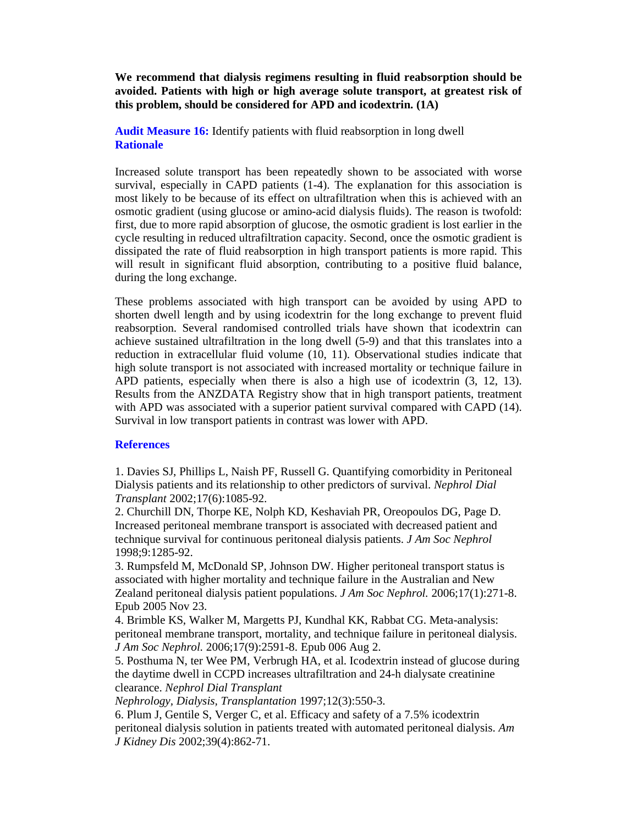**We recommend that dialysis regimens resulting in fluid reabsorption should be avoided. Patients with high or high average solute transport, at greatest risk of this problem, should be considered for APD and icodextrin. (1A)** 

**Audit Measure 16:** Identify patients with fluid reabsorption in long dwell **Rationale** 

Increased solute transport has been repeatedly shown to be associated with worse survival, especially in CAPD patients (1-4). The explanation for this association is most likely to be because of its effect on ultrafiltration when this is achieved with an osmotic gradient (using glucose or amino-acid dialysis fluids). The reason is twofold: first, due to more rapid absorption of glucose, the osmotic gradient is lost earlier in the cycle resulting in reduced ultrafiltration capacity. Second, once the osmotic gradient is dissipated the rate of fluid reabsorption in high transport patients is more rapid. This will result in significant fluid absorption, contributing to a positive fluid balance, during the long exchange.

These problems associated with high transport can be avoided by using APD to shorten dwell length and by using icodextrin for the long exchange to prevent fluid reabsorption. Several randomised controlled trials have shown that icodextrin can achieve sustained ultrafiltration in the long dwell (5-9) and that this translates into a reduction in extracellular fluid volume (10, 11). Observational studies indicate that high solute transport is not associated with increased mortality or technique failure in APD patients, especially when there is also a high use of icodextrin  $(3, 12, 13)$ . Results from the ANZDATA Registry show that in high transport patients, treatment with APD was associated with a superior patient survival compared with CAPD (14). Survival in low transport patients in contrast was lower with APD.

## **References**

1. Davies SJ, Phillips L, Naish PF, Russell G. Quantifying comorbidity in Peritoneal Dialysis patients and its relationship to other predictors of survival. *Nephrol Dial Transplant* 2002;17(6):1085-92.

2. Churchill DN, Thorpe KE, Nolph KD, Keshaviah PR, Oreopoulos DG, Page D. Increased peritoneal membrane transport is associated with decreased patient and technique survival for continuous peritoneal dialysis patients. *J Am Soc Nephrol* 1998;9:1285-92.

3. Rumpsfeld M, McDonald SP, Johnson DW. Higher peritoneal transport status is associated with higher mortality and technique failure in the Australian and New Zealand peritoneal dialysis patient populations. *J Am Soc Nephrol.* 2006;17(1):271-8. Epub 2005 Nov 23.

4. Brimble KS, Walker M, Margetts PJ, Kundhal KK, Rabbat CG. Meta-analysis: peritoneal membrane transport, mortality, and technique failure in peritoneal dialysis. *J Am Soc Nephrol.* 2006;17(9):2591-8. Epub 006 Aug 2.

5. Posthuma N, ter Wee PM, Verbrugh HA, et al. Icodextrin instead of glucose during the daytime dwell in CCPD increases ultrafiltration and 24-h dialysate creatinine clearance. *Nephrol Dial Transplant* 

*Nephrology, Dialysis, Transplantation* 1997;12(3):550-3.

6. Plum J, Gentile S, Verger C, et al. Efficacy and safety of a 7.5% icodextrin peritoneal dialysis solution in patients treated with automated peritoneal dialysis. *Am J Kidney Dis* 2002;39(4):862-71.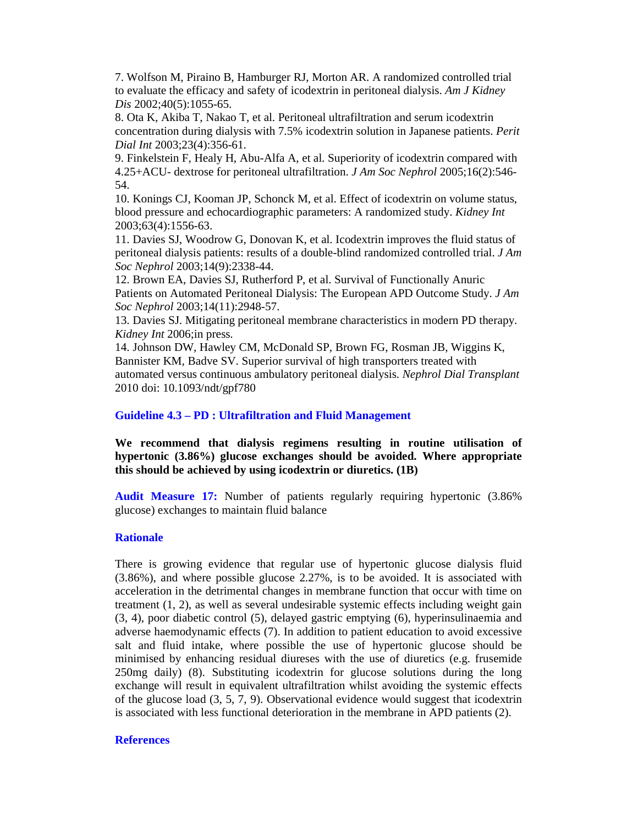7. Wolfson M, Piraino B, Hamburger RJ, Morton AR. A randomized controlled trial to evaluate the efficacy and safety of icodextrin in peritoneal dialysis. *Am J Kidney Dis* 2002;40(5):1055-65.

8. Ota K, Akiba T, Nakao T, et al. Peritoneal ultrafiltration and serum icodextrin concentration during dialysis with 7.5% icodextrin solution in Japanese patients. *Perit Dial Int* 2003;23(4):356-61.

9. Finkelstein F, Healy H, Abu-Alfa A, et al. Superiority of icodextrin compared with 4.25+ACU- dextrose for peritoneal ultrafiltration. *J Am Soc Nephrol* 2005;16(2):546- 54.

10. Konings CJ, Kooman JP, Schonck M, et al. Effect of icodextrin on volume status, blood pressure and echocardiographic parameters: A randomized study. *Kidney Int* 2003;63(4):1556-63.

11. Davies SJ, Woodrow G, Donovan K, et al. Icodextrin improves the fluid status of peritoneal dialysis patients: results of a double-blind randomized controlled trial. *J Am Soc Nephrol* 2003;14(9):2338-44.

12. Brown EA, Davies SJ, Rutherford P, et al. Survival of Functionally Anuric Patients on Automated Peritoneal Dialysis: The European APD Outcome Study. *J Am Soc Nephrol* 2003;14(11):2948-57.

13. Davies SJ. Mitigating peritoneal membrane characteristics in modern PD therapy. *Kidney Int* 2006;in press.

14. Johnson DW, Hawley CM, McDonald SP, Brown FG, Rosman JB, Wiggins K, Bannister KM, Badve SV. Superior survival of high transporters treated with automated versus continuous ambulatory peritoneal dialysis. *Nephrol Dial Transplant* 2010 doi: 10.1093/ndt/gpf780

#### **Guideline 4.3 – PD : Ultrafiltration and Fluid Management**

## **We recommend that dialysis regimens resulting in routine utilisation of hypertonic (3.86%) glucose exchanges should be avoided. Where appropriate this should be achieved by using icodextrin or diuretics. (1B)**

**Audit Measure 17:** Number of patients regularly requiring hypertonic (3.86% glucose) exchanges to maintain fluid balance

#### **Rationale**

There is growing evidence that regular use of hypertonic glucose dialysis fluid (3.86%), and where possible glucose 2.27%, is to be avoided. It is associated with acceleration in the detrimental changes in membrane function that occur with time on treatment (1, 2), as well as several undesirable systemic effects including weight gain (3, 4), poor diabetic control (5), delayed gastric emptying (6), hyperinsulinaemia and adverse haemodynamic effects (7). In addition to patient education to avoid excessive salt and fluid intake, where possible the use of hypertonic glucose should be minimised by enhancing residual diureses with the use of diuretics (e.g. frusemide 250mg daily) (8). Substituting icodextrin for glucose solutions during the long exchange will result in equivalent ultrafiltration whilst avoiding the systemic effects of the glucose load (3, 5, 7, 9). Observational evidence would suggest that icodextrin is associated with less functional deterioration in the membrane in APD patients (2).

#### **References**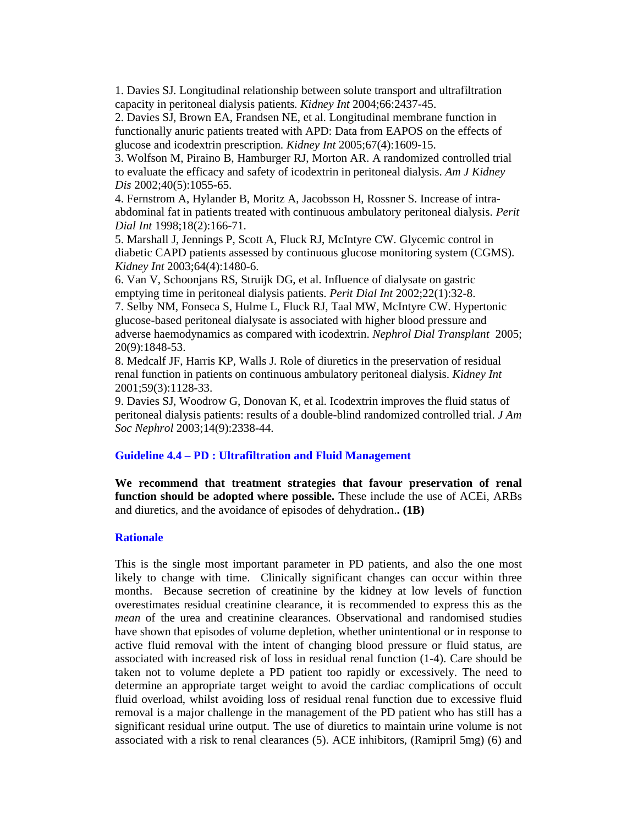1. Davies SJ. Longitudinal relationship between solute transport and ultrafiltration capacity in peritoneal dialysis patients. *Kidney Int* 2004;66:2437-45.

2. Davies SJ, Brown EA, Frandsen NE, et al. Longitudinal membrane function in functionally anuric patients treated with APD: Data from EAPOS on the effects of glucose and icodextrin prescription. *Kidney Int* 2005;67(4):1609-15.

3. Wolfson M, Piraino B, Hamburger RJ, Morton AR. A randomized controlled trial to evaluate the efficacy and safety of icodextrin in peritoneal dialysis. *Am J Kidney Dis* 2002;40(5):1055-65.

4. Fernstrom A, Hylander B, Moritz A, Jacobsson H, Rossner S. Increase of intraabdominal fat in patients treated with continuous ambulatory peritoneal dialysis. *Perit Dial Int* 1998;18(2):166-71.

5. Marshall J, Jennings P, Scott A, Fluck RJ, McIntyre CW. Glycemic control in diabetic CAPD patients assessed by continuous glucose monitoring system (CGMS). *Kidney Int* 2003;64(4):1480-6.

6. Van V, Schoonjans RS, Struijk DG, et al. Influence of dialysate on gastric emptying time in peritoneal dialysis patients. *Perit Dial Int* 2002;22(1):32-8.

7. Selby NM, Fonseca S, Hulme L, Fluck RJ, Taal MW, McIntyre CW. Hypertonic glucose-based peritoneal dialysate is associated with higher blood pressure and adverse haemodynamics as compared with icodextrin. *Nephrol Dial Transplant* 2005; 20(9):1848-53.

8. Medcalf JF, Harris KP, Walls J. Role of diuretics in the preservation of residual renal function in patients on continuous ambulatory peritoneal dialysis. *Kidney Int* 2001;59(3):1128-33.

9. Davies SJ, Woodrow G, Donovan K, et al. Icodextrin improves the fluid status of peritoneal dialysis patients: results of a double-blind randomized controlled trial. *J Am Soc Nephrol* 2003;14(9):2338-44.

### **Guideline 4.4 – PD : Ultrafiltration and Fluid Management**

**We recommend that treatment strategies that favour preservation of renal function should be adopted where possible.** These include the use of ACEi, ARBs and diuretics, and the avoidance of episodes of dehydration.**. (1B)** 

#### **Rationale**

This is the single most important parameter in PD patients, and also the one most likely to change with time. Clinically significant changes can occur within three months. Because secretion of creatinine by the kidney at low levels of function overestimates residual creatinine clearance, it is recommended to express this as the *mean* of the urea and creatinine clearances. Observational and randomised studies have shown that episodes of volume depletion, whether unintentional or in response to active fluid removal with the intent of changing blood pressure or fluid status, are associated with increased risk of loss in residual renal function (1-4). Care should be taken not to volume deplete a PD patient too rapidly or excessively. The need to determine an appropriate target weight to avoid the cardiac complications of occult fluid overload, whilst avoiding loss of residual renal function due to excessive fluid removal is a major challenge in the management of the PD patient who has still has a significant residual urine output. The use of diuretics to maintain urine volume is not associated with a risk to renal clearances (5). ACE inhibitors, (Ramipril 5mg) (6) and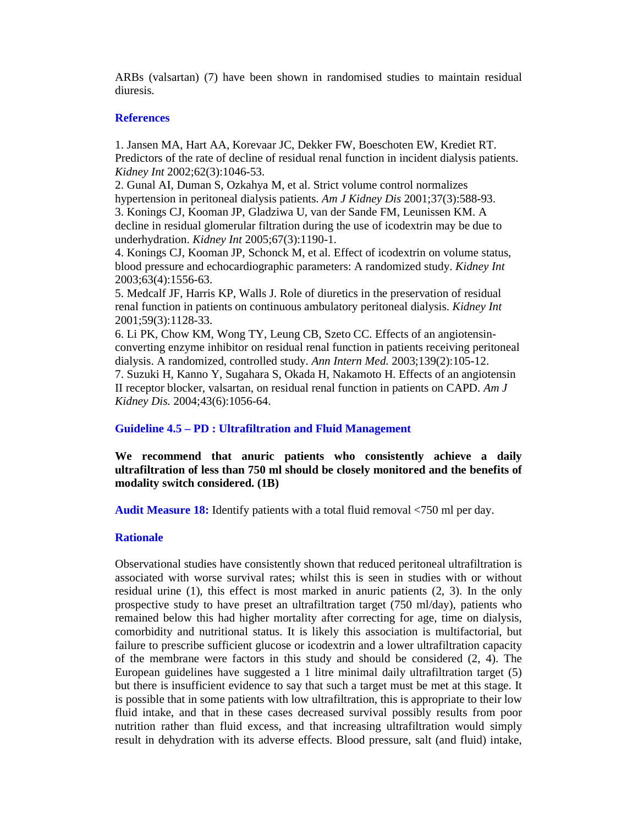ARBs (valsartan) (7) have been shown in randomised studies to maintain residual diuresis.

#### **References**

1. Jansen MA, Hart AA, Korevaar JC, Dekker FW, Boeschoten EW, Krediet RT. Predictors of the rate of decline of residual renal function in incident dialysis patients. *Kidney Int* 2002;62(3):1046-53.

2. Gunal AI, Duman S, Ozkahya M, et al. Strict volume control normalizes hypertension in peritoneal dialysis patients. *Am J Kidney Dis* 2001;37(3):588-93. 3. Konings CJ, Kooman JP, Gladziwa U, van der Sande FM, Leunissen KM. A decline in residual glomerular filtration during the use of icodextrin may be due to underhydration. *Kidney Int* 2005;67(3):1190-1.

4. Konings CJ, Kooman JP, Schonck M, et al. Effect of icodextrin on volume status, blood pressure and echocardiographic parameters: A randomized study. *Kidney Int* 2003;63(4):1556-63.

5. Medcalf JF, Harris KP, Walls J. Role of diuretics in the preservation of residual renal function in patients on continuous ambulatory peritoneal dialysis. *Kidney Int* 2001;59(3):1128-33.

6. Li PK, Chow KM, Wong TY, Leung CB, Szeto CC. Effects of an angiotensinconverting enzyme inhibitor on residual renal function in patients receiving peritoneal dialysis. A randomized, controlled study. *Ann Intern Med.* 2003;139(2):105-12. 7. Suzuki H, Kanno Y, Sugahara S, Okada H, Nakamoto H. Effects of an angiotensin II receptor blocker, valsartan, on residual renal function in patients on CAPD. *Am J Kidney Dis.* 2004;43(6):1056-64.

### **Guideline 4.5 – PD : Ultrafiltration and Fluid Management**

## **We recommend that anuric patients who consistently achieve a daily ultrafiltration of less than 750 ml should be closely monitored and the benefits of modality switch considered. (1B)**

**Audit Measure 18:** Identify patients with a total fluid removal <750 ml per day.

#### **Rationale**

Observational studies have consistently shown that reduced peritoneal ultrafiltration is associated with worse survival rates; whilst this is seen in studies with or without residual urine (1), this effect is most marked in anuric patients (2, 3). In the only prospective study to have preset an ultrafiltration target (750 ml/day), patients who remained below this had higher mortality after correcting for age, time on dialysis, comorbidity and nutritional status. It is likely this association is multifactorial, but failure to prescribe sufficient glucose or icodextrin and a lower ultrafiltration capacity of the membrane were factors in this study and should be considered (2, 4). The European guidelines have suggested a 1 litre minimal daily ultrafiltration target (5) but there is insufficient evidence to say that such a target must be met at this stage. It is possible that in some patients with low ultrafiltration, this is appropriate to their low fluid intake, and that in these cases decreased survival possibly results from poor nutrition rather than fluid excess, and that increasing ultrafiltration would simply result in dehydration with its adverse effects. Blood pressure, salt (and fluid) intake,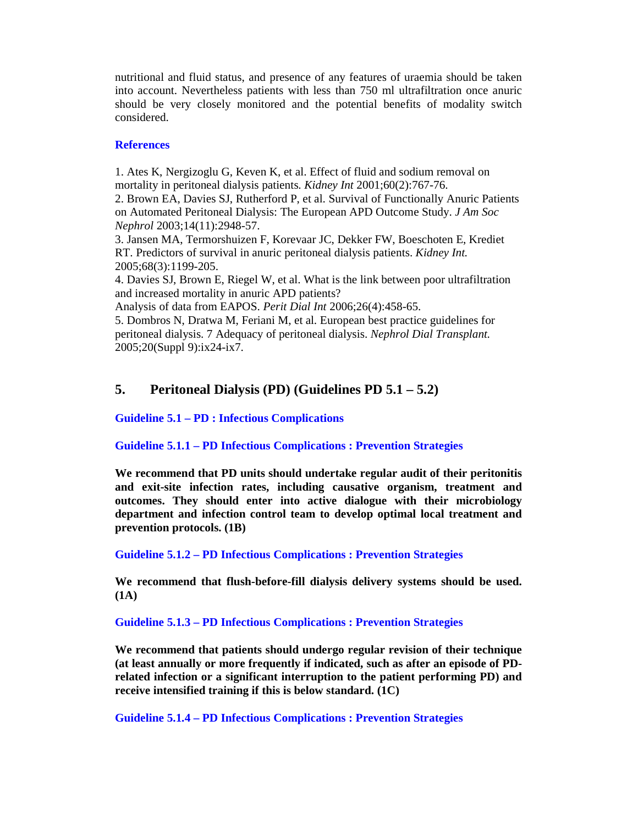nutritional and fluid status, and presence of any features of uraemia should be taken into account. Nevertheless patients with less than 750 ml ultrafiltration once anuric should be very closely monitored and the potential benefits of modality switch considered.

#### **References**

1. Ates K, Nergizoglu G, Keven K, et al. Effect of fluid and sodium removal on mortality in peritoneal dialysis patients. *Kidney Int* 2001;60(2):767-76.

2. Brown EA, Davies SJ, Rutherford P, et al. Survival of Functionally Anuric Patients on Automated Peritoneal Dialysis: The European APD Outcome Study. *J Am Soc Nephrol* 2003;14(11):2948-57.

3. Jansen MA, Termorshuizen F, Korevaar JC, Dekker FW, Boeschoten E, Krediet RT. Predictors of survival in anuric peritoneal dialysis patients. *Kidney Int.* 2005;68(3):1199-205.

4. Davies SJ, Brown E, Riegel W, et al. What is the link between poor ultrafiltration and increased mortality in anuric APD patients?

Analysis of data from EAPOS. *Perit Dial Int* 2006;26(4):458-65.

5. Dombros N, Dratwa M, Feriani M, et al. European best practice guidelines for peritoneal dialysis. 7 Adequacy of peritoneal dialysis. *Nephrol Dial Transplant.* 2005;20(Suppl 9):ix24-ix7.

## **5. Peritoneal Dialysis (PD) (Guidelines PD 5.1 – 5.2)**

**Guideline 5.1 – PD : Infectious Complications**

## **Guideline 5.1.1 – PD Infectious Complications : Prevention Strategies**

**We recommend that PD units should undertake regular audit of their peritonitis and exit-site infection rates, including causative organism, treatment and outcomes. They should enter into active dialogue with their microbiology department and infection control team to develop optimal local treatment and prevention protocols. (1B)** 

## **Guideline 5.1.2 – PD Infectious Complications : Prevention Strategies**

**We recommend that flush-before-fill dialysis delivery systems should be used. (1A)** 

## **Guideline 5.1.3 – PD Infectious Complications : Prevention Strategies**

**We recommend that patients should undergo regular revision of their technique (at least annually or more frequently if indicated, such as after an episode of PDrelated infection or a significant interruption to the patient performing PD) and receive intensified training if this is below standard. (1C)** 

**Guideline 5.1.4 – PD Infectious Complications : Prevention Strategies**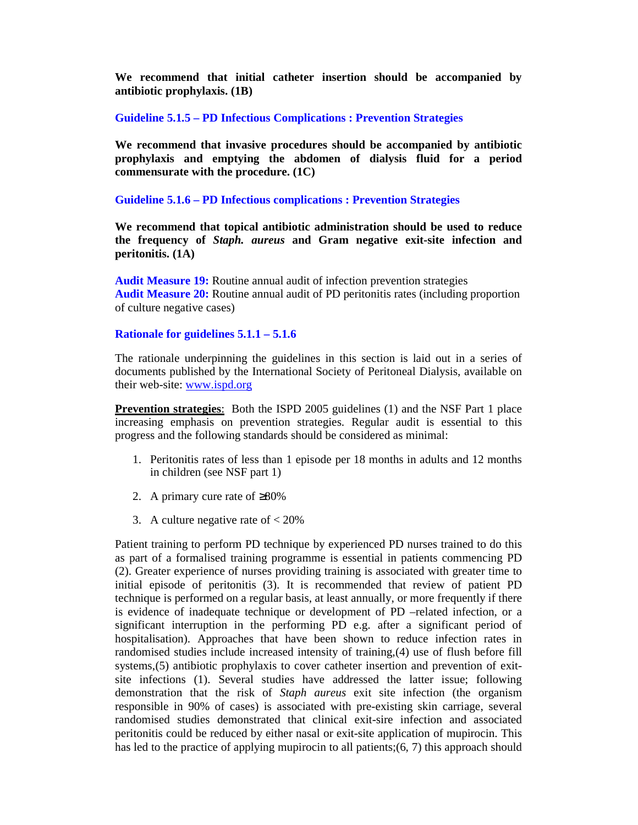**We recommend that initial catheter insertion should be accompanied by antibiotic prophylaxis. (1B)** 

#### **Guideline 5.1.5 – PD Infectious Complications : Prevention Strategies**

**We recommend that invasive procedures should be accompanied by antibiotic prophylaxis and emptying the abdomen of dialysis fluid for a period commensurate with the procedure. (1C)** 

### **Guideline 5.1.6 – PD Infectious complications : Prevention Strategies**

**We recommend that topical antibiotic administration should be used to reduce the frequency of** *Staph. aureus* **and Gram negative exit-site infection and peritonitis. (1A)** 

**Audit Measure 19:** Routine annual audit of infection prevention strategies **Audit Measure 20:** Routine annual audit of PD peritonitis rates (including proportion of culture negative cases)

#### **Rationale for guidelines 5.1.1 – 5.1.6**

The rationale underpinning the guidelines in this section is laid out in a series of documents published by the International Society of Peritoneal Dialysis, available on their web-site: www.ispd.org

**Prevention strategies**:Both the ISPD 2005 guidelines (1) and the NSF Part 1 place increasing emphasis on prevention strategies. Regular audit is essential to this progress and the following standards should be considered as minimal:

- 1. Peritonitis rates of less than 1 episode per 18 months in adults and 12 months in children (see NSF part 1)
- 2. A primary cure rate of  $\geq 80\%$
- 3. A culture negative rate of < 20%

Patient training to perform PD technique by experienced PD nurses trained to do this as part of a formalised training programme is essential in patients commencing PD (2). Greater experience of nurses providing training is associated with greater time to initial episode of peritonitis (3). It is recommended that review of patient PD technique is performed on a regular basis, at least annually, or more frequently if there is evidence of inadequate technique or development of PD –related infection, or a significant interruption in the performing PD e.g. after a significant period of hospitalisation). Approaches that have been shown to reduce infection rates in randomised studies include increased intensity of training,(4) use of flush before fill systems,(5) antibiotic prophylaxis to cover catheter insertion and prevention of exitsite infections (1). Several studies have addressed the latter issue; following demonstration that the risk of *Staph aureus* exit site infection (the organism responsible in 90% of cases) is associated with pre-existing skin carriage, several randomised studies demonstrated that clinical exit-sire infection and associated peritonitis could be reduced by either nasal or exit-site application of mupirocin. This has led to the practice of applying mupirocin to all patients;(6, 7) this approach should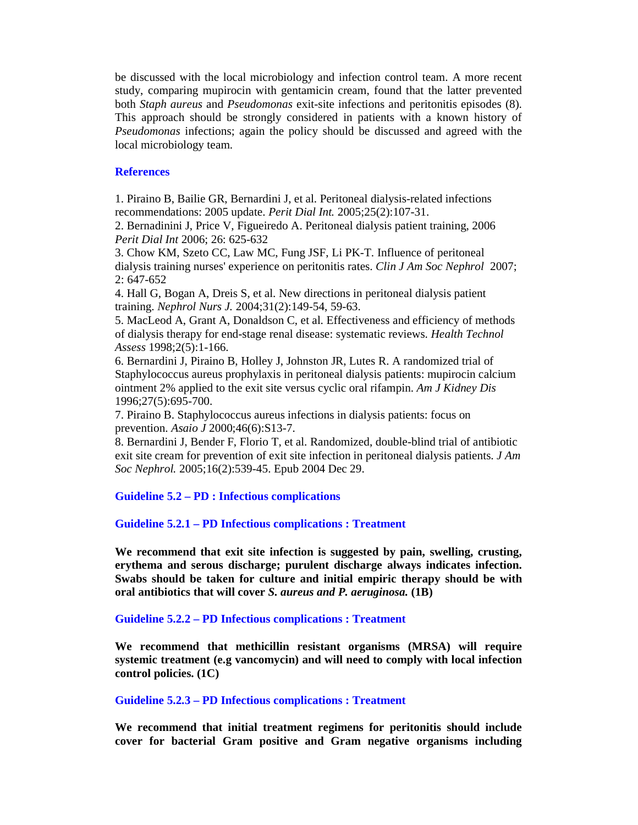be discussed with the local microbiology and infection control team. A more recent study, comparing mupirocin with gentamicin cream, found that the latter prevented both *Staph aureus* and *Pseudomonas* exit-site infections and peritonitis episodes (8). This approach should be strongly considered in patients with a known history of *Pseudomonas* infections; again the policy should be discussed and agreed with the local microbiology team.

### **References**

1. Piraino B, Bailie GR, Bernardini J, et al. Peritoneal dialysis-related infections recommendations: 2005 update. *Perit Dial Int.* 2005;25(2):107-31.

2. Bernadinini J, Price V, Figueiredo A. Peritoneal dialysis patient training, 2006 *Perit Dial Int* 2006; 26: 625-632

3. Chow KM, Szeto CC, Law MC, Fung JSF, Li PK-T. Influence of peritoneal dialysis training nurses' experience on peritonitis rates. *Clin J Am Soc Nephrol* 2007; 2: 647-652

4. Hall G, Bogan A, Dreis S, et al. New directions in peritoneal dialysis patient training. *Nephrol Nurs J.* 2004;31(2):149-54, 59-63.

5. MacLeod A, Grant A, Donaldson C, et al. Effectiveness and efficiency of methods of dialysis therapy for end-stage renal disease: systematic reviews. *Health Technol Assess* 1998;2(5):1-166.

6. Bernardini J, Piraino B, Holley J, Johnston JR, Lutes R. A randomized trial of Staphylococcus aureus prophylaxis in peritoneal dialysis patients: mupirocin calcium ointment 2% applied to the exit site versus cyclic oral rifampin. *Am J Kidney Dis* 1996;27(5):695-700.

7. Piraino B. Staphylococcus aureus infections in dialysis patients: focus on prevention. *Asaio J* 2000;46(6):S13-7.

8. Bernardini J, Bender F, Florio T, et al. Randomized, double-blind trial of antibiotic exit site cream for prevention of exit site infection in peritoneal dialysis patients. *J Am Soc Nephrol.* 2005;16(2):539-45. Epub 2004 Dec 29.

#### **Guideline 5.2 – PD : Infectious complications**

#### **Guideline 5.2.1 – PD Infectious complications : Treatment**

**We recommend that exit site infection is suggested by pain, swelling, crusting, erythema and serous discharge; purulent discharge always indicates infection. Swabs should be taken for culture and initial empiric therapy should be with oral antibiotics that will cover** *S. aureus and P. aeruginosa.* **(1B)** 

#### **Guideline 5.2.2 – PD Infectious complications : Treatment**

**We recommend that methicillin resistant organisms (MRSA) will require systemic treatment (e.g vancomycin) and will need to comply with local infection control policies. (1C)** 

#### **Guideline 5.2.3 – PD Infectious complications : Treatment**

**We recommend that initial treatment regimens for peritonitis should include cover for bacterial Gram positive and Gram negative organisms including**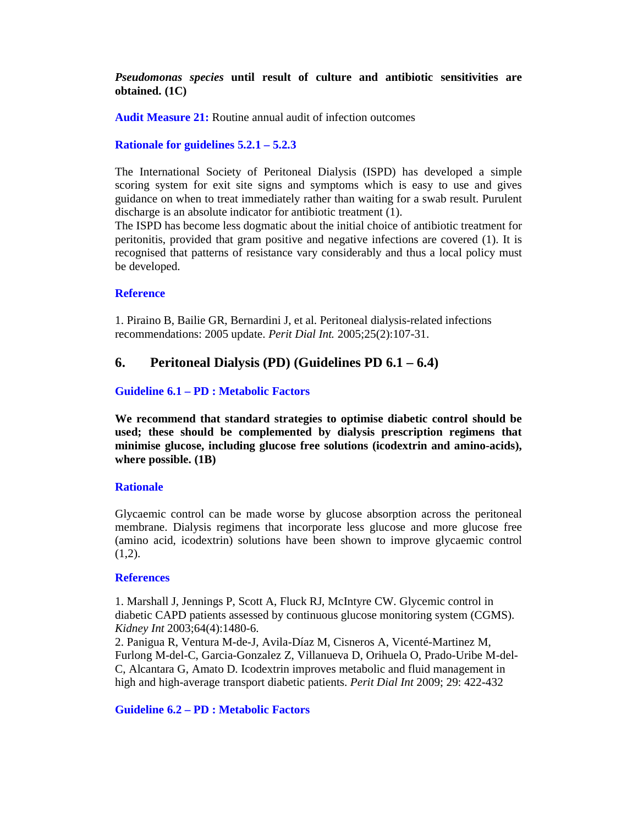## *Pseudomonas species* **until result of culture and antibiotic sensitivities are obtained. (1C)**

**Audit Measure 21:** Routine annual audit of infection outcomes

## **Rationale for guidelines 5.2.1 – 5.2.3**

The International Society of Peritoneal Dialysis (ISPD) has developed a simple scoring system for exit site signs and symptoms which is easy to use and gives guidance on when to treat immediately rather than waiting for a swab result. Purulent discharge is an absolute indicator for antibiotic treatment (1).

The ISPD has become less dogmatic about the initial choice of antibiotic treatment for peritonitis, provided that gram positive and negative infections are covered (1). It is recognised that patterns of resistance vary considerably and thus a local policy must be developed.

### **Reference**

1. Piraino B, Bailie GR, Bernardini J, et al. Peritoneal dialysis-related infections recommendations: 2005 update. *Perit Dial Int.* 2005;25(2):107-31.

# **6. Peritoneal Dialysis (PD) (Guidelines PD 6.1 – 6.4)**

## **Guideline 6.1 – PD : Metabolic Factors**

**We recommend that standard strategies to optimise diabetic control should be used; these should be complemented by dialysis prescription regimens that minimise glucose, including glucose free solutions (icodextrin and amino-acids), where possible. (1B)** 

## **Rationale**

Glycaemic control can be made worse by glucose absorption across the peritoneal membrane. Dialysis regimens that incorporate less glucose and more glucose free (amino acid, icodextrin) solutions have been shown to improve glycaemic control  $(1,2)$ .

#### **References**

1. Marshall J, Jennings P, Scott A, Fluck RJ, McIntyre CW. Glycemic control in diabetic CAPD patients assessed by continuous glucose monitoring system (CGMS). *Kidney Int* 2003;64(4):1480-6.

2. Panigua R, Ventura M-de-J, Avila-Díaz M, Cisneros A, Vicenté-Martinez M, Furlong M-del-C, Garcia-Gonzalez Z, Villanueva D, Orihuela O, Prado-Uribe M-del-C, Alcantara G, Amato D. Icodextrin improves metabolic and fluid management in high and high-average transport diabetic patients. *Perit Dial Int* 2009; 29: 422-432

## **Guideline 6.2 – PD : Metabolic Factors**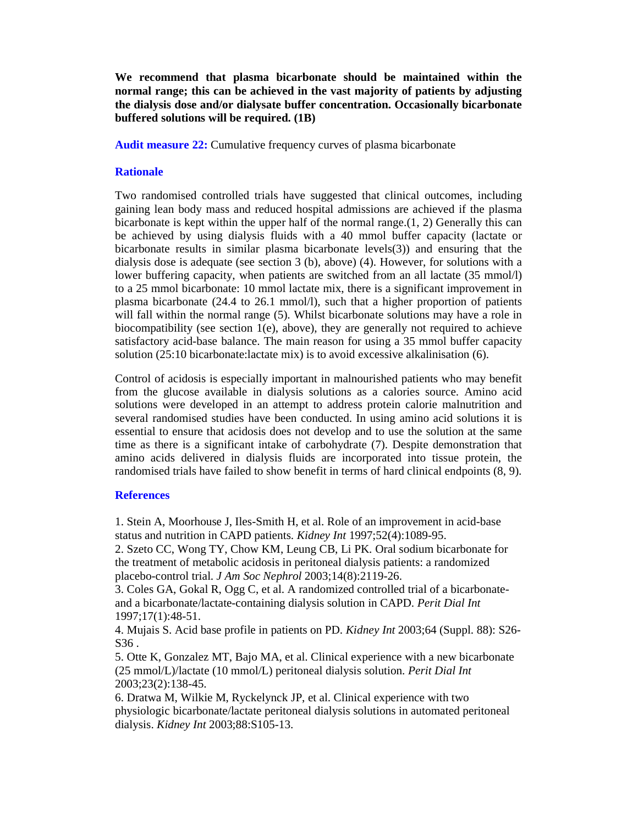**We recommend that plasma bicarbonate should be maintained within the normal range; this can be achieved in the vast majority of patients by adjusting the dialysis dose and/or dialysate buffer concentration. Occasionally bicarbonate buffered solutions will be required. (1B)** 

**Audit measure 22:** Cumulative frequency curves of plasma bicarbonate

### **Rationale**

Two randomised controlled trials have suggested that clinical outcomes, including gaining lean body mass and reduced hospital admissions are achieved if the plasma bicarbonate is kept within the upper half of the normal range.(1, 2) Generally this can be achieved by using dialysis fluids with a 40 mmol buffer capacity (lactate or bicarbonate results in similar plasma bicarbonate levels(3)) and ensuring that the dialysis dose is adequate (see section 3 (b), above) (4). However, for solutions with a lower buffering capacity, when patients are switched from an all lactate (35 mmol/l) to a 25 mmol bicarbonate: 10 mmol lactate mix, there is a significant improvement in plasma bicarbonate (24.4 to 26.1 mmol/l), such that a higher proportion of patients will fall within the normal range (5). Whilst bicarbonate solutions may have a role in biocompatibility (see section  $1(e)$ , above), they are generally not required to achieve satisfactory acid-base balance. The main reason for using a 35 mmol buffer capacity solution (25:10 bicarbonate:lactate mix) is to avoid excessive alkalinisation (6).

Control of acidosis is especially important in malnourished patients who may benefit from the glucose available in dialysis solutions as a calories source. Amino acid solutions were developed in an attempt to address protein calorie malnutrition and several randomised studies have been conducted. In using amino acid solutions it is essential to ensure that acidosis does not develop and to use the solution at the same time as there is a significant intake of carbohydrate (7). Despite demonstration that amino acids delivered in dialysis fluids are incorporated into tissue protein, the randomised trials have failed to show benefit in terms of hard clinical endpoints (8, 9).

#### **References**

1. Stein A, Moorhouse J, Iles-Smith H, et al. Role of an improvement in acid-base status and nutrition in CAPD patients. *Kidney Int* 1997;52(4):1089-95.

2. Szeto CC, Wong TY, Chow KM, Leung CB, Li PK. Oral sodium bicarbonate for the treatment of metabolic acidosis in peritoneal dialysis patients: a randomized placebo-control trial. *J Am Soc Nephrol* 2003;14(8):2119-26.

3. Coles GA, Gokal R, Ogg C, et al. A randomized controlled trial of a bicarbonateand a bicarbonate/lactate-containing dialysis solution in CAPD. *Perit Dial Int* 1997;17(1):48-51.

4. Mujais S. Acid base profile in patients on PD. *Kidney Int* 2003;64 (Suppl. 88): S26- S36 .

5. Otte K, Gonzalez MT, Bajo MA, et al. Clinical experience with a new bicarbonate (25 mmol/L)/lactate (10 mmol/L) peritoneal dialysis solution. *Perit Dial Int* 2003;23(2):138-45.

6. Dratwa M, Wilkie M, Ryckelynck JP, et al. Clinical experience with two physiologic bicarbonate/lactate peritoneal dialysis solutions in automated peritoneal dialysis. *Kidney Int* 2003;88:S105-13.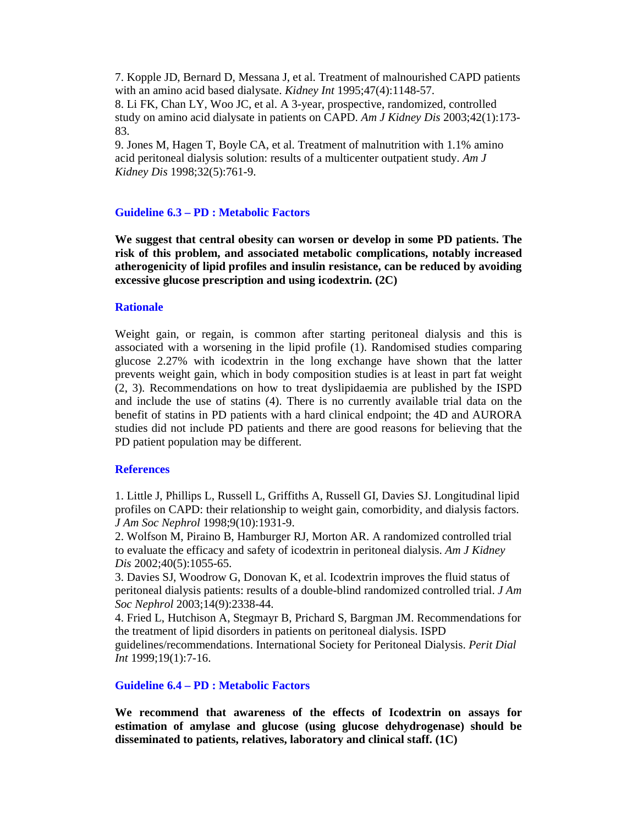7. Kopple JD, Bernard D, Messana J, et al. Treatment of malnourished CAPD patients with an amino acid based dialysate. *Kidney Int* 1995;47(4):1148-57. 8. Li FK, Chan LY, Woo JC, et al. A 3-year, prospective, randomized, controlled study on amino acid dialysate in patients on CAPD. *Am J Kidney Dis* 2003;42(1):173- 83.

9. Jones M, Hagen T, Boyle CA, et al. Treatment of malnutrition with 1.1% amino acid peritoneal dialysis solution: results of a multicenter outpatient study. *Am J Kidney Dis* 1998;32(5):761-9.

## **Guideline 6.3 – PD : Metabolic Factors**

**We suggest that central obesity can worsen or develop in some PD patients. The risk of this problem, and associated metabolic complications, notably increased atherogenicity of lipid profiles and insulin resistance, can be reduced by avoiding excessive glucose prescription and using icodextrin. (2C)** 

#### **Rationale**

Weight gain, or regain, is common after starting peritoneal dialysis and this is associated with a worsening in the lipid profile (1). Randomised studies comparing glucose 2.27% with icodextrin in the long exchange have shown that the latter prevents weight gain, which in body composition studies is at least in part fat weight (2, 3). Recommendations on how to treat dyslipidaemia are published by the ISPD and include the use of statins (4). There is no currently available trial data on the benefit of statins in PD patients with a hard clinical endpoint; the 4D and AURORA studies did not include PD patients and there are good reasons for believing that the PD patient population may be different.

#### **References**

1. Little J, Phillips L, Russell L, Griffiths A, Russell GI, Davies SJ. Longitudinal lipid profiles on CAPD: their relationship to weight gain, comorbidity, and dialysis factors. *J Am Soc Nephrol* 1998;9(10):1931-9.

2. Wolfson M, Piraino B, Hamburger RJ, Morton AR. A randomized controlled trial to evaluate the efficacy and safety of icodextrin in peritoneal dialysis. *Am J Kidney Dis* 2002;40(5):1055-65.

3. Davies SJ, Woodrow G, Donovan K, et al. Icodextrin improves the fluid status of peritoneal dialysis patients: results of a double-blind randomized controlled trial. *J Am Soc Nephrol* 2003;14(9):2338-44.

4. Fried L, Hutchison A, Stegmayr B, Prichard S, Bargman JM. Recommendations for the treatment of lipid disorders in patients on peritoneal dialysis. ISPD

guidelines/recommendations. International Society for Peritoneal Dialysis. *Perit Dial Int* 1999;19(1):7-16.

#### **Guideline 6.4 – PD : Metabolic Factors**

**We recommend that awareness of the effects of Icodextrin on assays for estimation of amylase and glucose (using glucose dehydrogenase) should be disseminated to patients, relatives, laboratory and clinical staff. (1C)**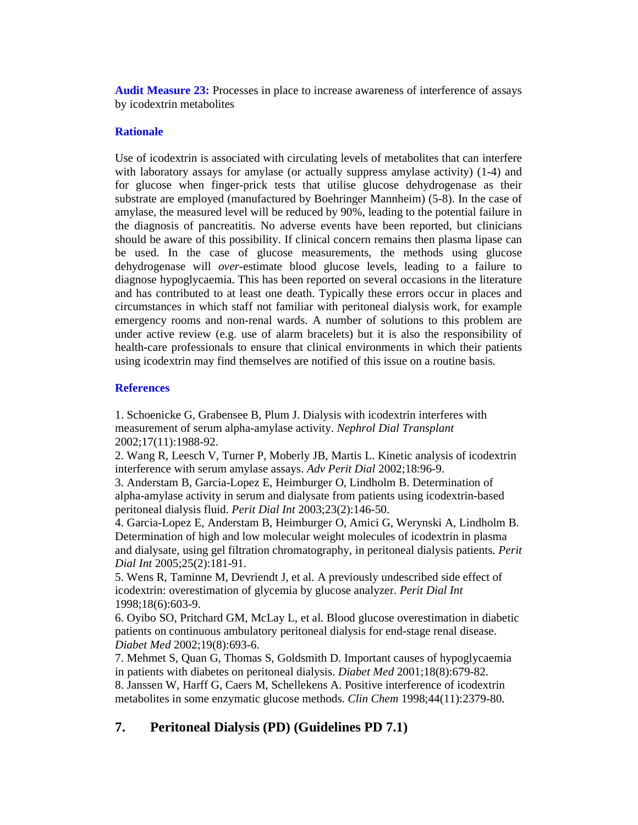**Audit Measure 23:** Processes in place to increase awareness of interference of assays by icodextrin metabolites

## **Rationale**

Use of icodextrin is associated with circulating levels of metabolites that can interfere with laboratory assays for amylase (or actually suppress amylase activity) (1-4) and for glucose when finger-prick tests that utilise glucose dehydrogenase as their substrate are employed (manufactured by Boehringer Mannheim) (5-8). In the case of amylase, the measured level will be reduced by 90%, leading to the potential failure in the diagnosis of pancreatitis. No adverse events have been reported, but clinicians should be aware of this possibility. If clinical concern remains then plasma lipase can be used. In the case of glucose measurements, the methods using glucose dehydrogenase will *over*-estimate blood glucose levels, leading to a failure to diagnose hypoglycaemia. This has been reported on several occasions in the literature and has contributed to at least one death. Typically these errors occur in places and circumstances in which staff not familiar with peritoneal dialysis work, for example emergency rooms and non-renal wards. A number of solutions to this problem are under active review (e.g. use of alarm bracelets) but it is also the responsibility of health-care professionals to ensure that clinical environments in which their patients using icodextrin may find themselves are notified of this issue on a routine basis.

#### **References**

1. Schoenicke G, Grabensee B, Plum J. Dialysis with icodextrin interferes with measurement of serum alpha-amylase activity. *Nephrol Dial Transplant* 2002;17(11):1988-92.

2. Wang R, Leesch V, Turner P, Moberly JB, Martis L. Kinetic analysis of icodextrin interference with serum amylase assays. *Adv Perit Dial* 2002;18:96-9.

3. Anderstam B, Garcia-Lopez E, Heimburger O, Lindholm B. Determination of alpha-amylase activity in serum and dialysate from patients using icodextrin-based peritoneal dialysis fluid. *Perit Dial Int* 2003;23(2):146-50.

4. Garcia-Lopez E, Anderstam B, Heimburger O, Amici G, Werynski A, Lindholm B. Determination of high and low molecular weight molecules of icodextrin in plasma and dialysate, using gel filtration chromatography, in peritoneal dialysis patients. *Perit Dial Int* 2005;25(2):181-91.

5. Wens R, Taminne M, Devriendt J, et al. A previously undescribed side effect of icodextrin: overestimation of glycemia by glucose analyzer. *Perit Dial Int* 1998;18(6):603-9.

6. Oyibo SO, Pritchard GM, McLay L, et al. Blood glucose overestimation in diabetic patients on continuous ambulatory peritoneal dialysis for end-stage renal disease. *Diabet Med* 2002;19(8):693-6.

7. Mehmet S, Quan G, Thomas S, Goldsmith D. Important causes of hypoglycaemia in patients with diabetes on peritoneal dialysis. *Diabet Med* 2001;18(8):679-82. 8. Janssen W, Harff G, Caers M, Schellekens A. Positive interference of icodextrin metabolites in some enzymatic glucose methods. *Clin Chem* 1998;44(11):2379-80.

# **7. Peritoneal Dialysis (PD) (Guidelines PD 7.1)**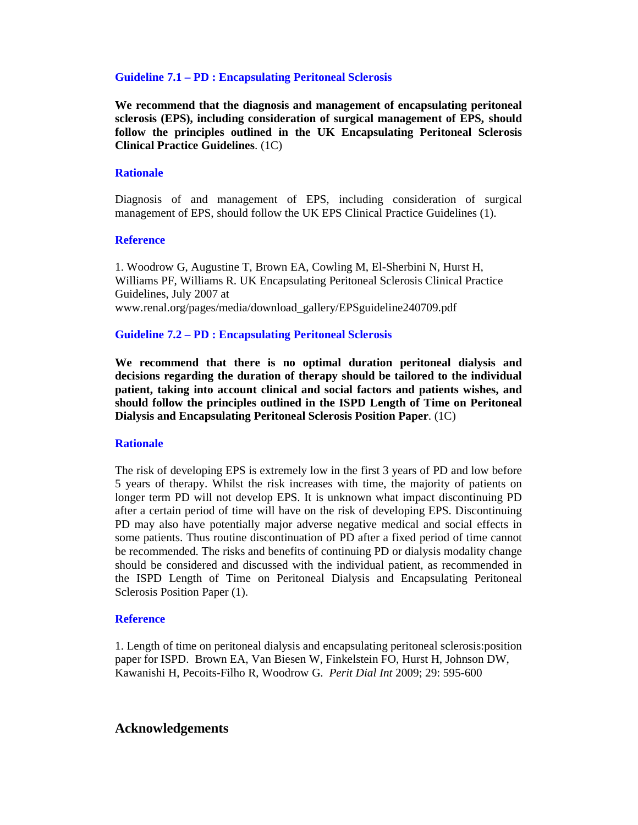### **Guideline 7.1 – PD : Encapsulating Peritoneal Sclerosis**

**We recommend that the diagnosis and management of encapsulating peritoneal sclerosis (EPS), including consideration of surgical management of EPS, should follow the principles outlined in the UK Encapsulating Peritoneal Sclerosis Clinical Practice Guidelines**. (1C)

#### **Rationale**

Diagnosis of and management of EPS, including consideration of surgical management of EPS, should follow the UK EPS Clinical Practice Guidelines (1).

## **Reference**

1. Woodrow G, Augustine T, Brown EA, Cowling M, El-Sherbini N, Hurst H, Williams PF, Williams R. UK Encapsulating Peritoneal Sclerosis Clinical Practice Guidelines, July 2007 at www.renal.org/pages/media/download\_gallery/EPSguideline240709.pdf

#### **Guideline 7.2 – PD : Encapsulating Peritoneal Sclerosis**

**We recommend that there is no optimal duration peritoneal dialysis and decisions regarding the duration of therapy should be tailored to the individual patient, taking into account clinical and social factors and patients wishes, and should follow the principles outlined in the ISPD Length of Time on Peritoneal Dialysis and Encapsulating Peritoneal Sclerosis Position Paper**. (1C)

#### **Rationale**

The risk of developing EPS is extremely low in the first 3 years of PD and low before 5 years of therapy. Whilst the risk increases with time, the majority of patients on longer term PD will not develop EPS. It is unknown what impact discontinuing PD after a certain period of time will have on the risk of developing EPS. Discontinuing PD may also have potentially major adverse negative medical and social effects in some patients. Thus routine discontinuation of PD after a fixed period of time cannot be recommended. The risks and benefits of continuing PD or dialysis modality change should be considered and discussed with the individual patient, as recommended in the ISPD Length of Time on Peritoneal Dialysis and Encapsulating Peritoneal Sclerosis Position Paper (1).

#### **Reference**

1. Length of time on peritoneal dialysis and encapsulating peritoneal sclerosis:position paper for ISPD. Brown EA, Van Biesen W, Finkelstein FO, Hurst H, Johnson DW, Kawanishi H, Pecoits-Filho R, Woodrow G. *Perit Dial Int* 2009; 29: 595-600

### **Acknowledgements**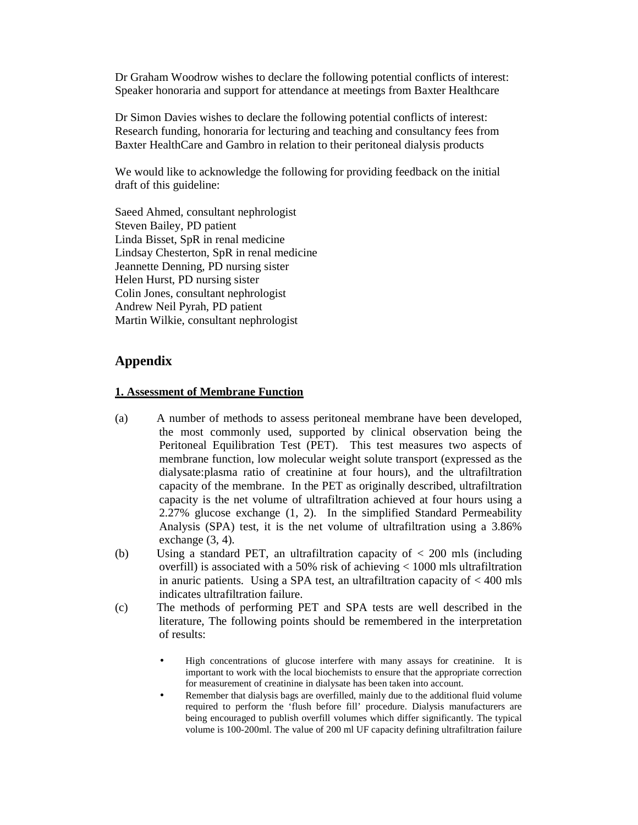Dr Graham Woodrow wishes to declare the following potential conflicts of interest: Speaker honoraria and support for attendance at meetings from Baxter Healthcare

Dr Simon Davies wishes to declare the following potential conflicts of interest: Research funding, honoraria for lecturing and teaching and consultancy fees from Baxter HealthCare and Gambro in relation to their peritoneal dialysis products

We would like to acknowledge the following for providing feedback on the initial draft of this guideline:

Saeed Ahmed, consultant nephrologist Steven Bailey, PD patient Linda Bisset, SpR in renal medicine Lindsay Chesterton, SpR in renal medicine Jeannette Denning, PD nursing sister Helen Hurst, PD nursing sister Colin Jones, consultant nephrologist Andrew Neil Pyrah, PD patient Martin Wilkie, consultant nephrologist

## **Appendix**

#### **1. Assessment of Membrane Function**

- (a) A number of methods to assess peritoneal membrane have been developed, the most commonly used, supported by clinical observation being the Peritoneal Equilibration Test (PET). This test measures two aspects of membrane function, low molecular weight solute transport (expressed as the dialysate:plasma ratio of creatinine at four hours), and the ultrafiltration capacity of the membrane. In the PET as originally described, ultrafiltration capacity is the net volume of ultrafiltration achieved at four hours using a 2.27% glucose exchange (1, 2). In the simplified Standard Permeability Analysis (SPA) test, it is the net volume of ultrafiltration using a 3.86% exchange (3, 4).
- (b) Using a standard PET, an ultrafiltration capacity of < 200 mls (including overfill) is associated with a 50% risk of achieving < 1000 mls ultrafiltration in anuric patients. Using a SPA test, an ultrafiltration capacity of  $<$  400 mls indicates ultrafiltration failure.
- (c) The methods of performing PET and SPA tests are well described in the literature, The following points should be remembered in the interpretation of results:
	- High concentrations of glucose interfere with many assays for creatinine. It is important to work with the local biochemists to ensure that the appropriate correction for measurement of creatinine in dialysate has been taken into account.
	- Remember that dialysis bags are overfilled, mainly due to the additional fluid volume required to perform the 'flush before fill' procedure. Dialysis manufacturers are being encouraged to publish overfill volumes which differ significantly. The typical volume is 100-200ml. The value of 200 ml UF capacity defining ultrafiltration failure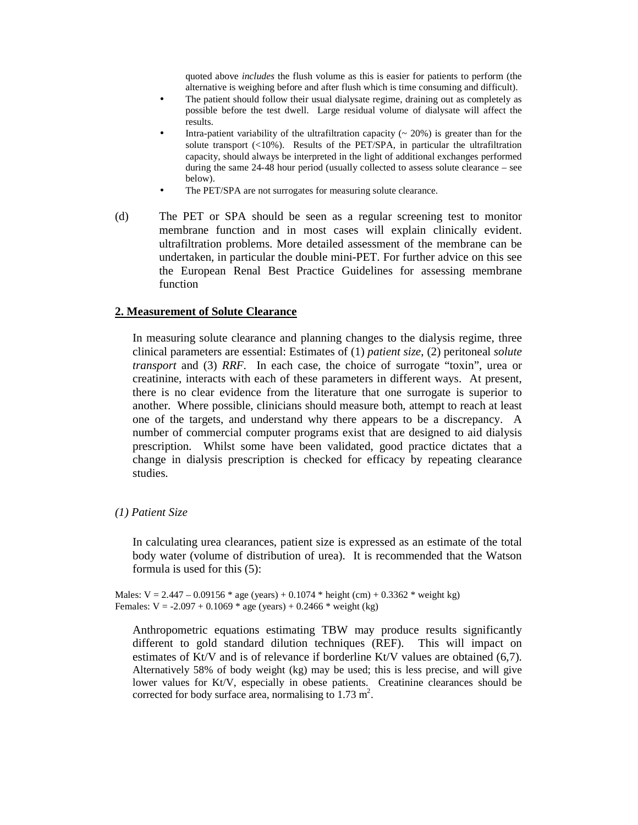quoted above *includes* the flush volume as this is easier for patients to perform (the alternative is weighing before and after flush which is time consuming and difficult).

- The patient should follow their usual dialysate regime, draining out as completely as possible before the test dwell. Large residual volume of dialysate will affect the results.
- Intra-patient variability of the ultrafiltration capacity ( $\sim$  20%) is greater than for the solute transport  $\left( \langle 10\% \rangle \right)$ . Results of the PET/SPA, in particular the ultrafiltration capacity, should always be interpreted in the light of additional exchanges performed during the same 24-48 hour period (usually collected to assess solute clearance – see below).
- The PET/SPA are not surrogates for measuring solute clearance.
- (d) The PET or SPA should be seen as a regular screening test to monitor membrane function and in most cases will explain clinically evident. ultrafiltration problems. More detailed assessment of the membrane can be undertaken, in particular the double mini-PET. For further advice on this see the European Renal Best Practice Guidelines for assessing membrane function

#### **2. Measurement of Solute Clearance**

In measuring solute clearance and planning changes to the dialysis regime, three clinical parameters are essential: Estimates of (1) *patient size*, (2) peritoneal *solute transport* and (3) *RRF*. In each case, the choice of surrogate "toxin", urea or creatinine, interacts with each of these parameters in different ways. At present, there is no clear evidence from the literature that one surrogate is superior to another. Where possible, clinicians should measure both, attempt to reach at least one of the targets, and understand why there appears to be a discrepancy. A number of commercial computer programs exist that are designed to aid dialysis prescription. Whilst some have been validated, good practice dictates that a change in dialysis prescription is checked for efficacy by repeating clearance studies.

#### *(1) Patient Size*

In calculating urea clearances, patient size is expressed as an estimate of the total body water (volume of distribution of urea). It is recommended that the Watson formula is used for this (5):

Males:  $V = 2.447 - 0.09156 * age (years) + 0.1074 * height (cm) + 0.3362 * weight kg)$ Females:  $V = -2.097 + 0.1069 * age (years) + 0.2466 * weight (kg)$ 

 Anthropometric equations estimating TBW may produce results significantly different to gold standard dilution techniques (REF). This will impact on estimates of Kt/V and is of relevance if borderline Kt/V values are obtained (6,7). Alternatively 58% of body weight (kg) may be used; this is less precise, and will give lower values for Kt/V, especially in obese patients. Creatinine clearances should be corrected for body surface area, normalising to  $1.73 \text{ m}^2$ .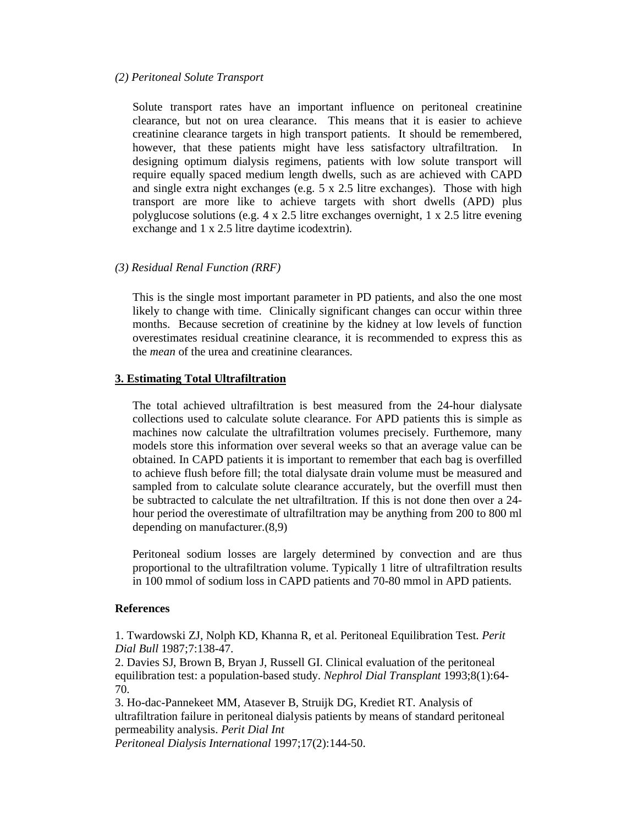#### *(2) Peritoneal Solute Transport*

Solute transport rates have an important influence on peritoneal creatinine clearance, but not on urea clearance. This means that it is easier to achieve creatinine clearance targets in high transport patients. It should be remembered, however, that these patients might have less satisfactory ultrafiltration. In designing optimum dialysis regimens, patients with low solute transport will require equally spaced medium length dwells, such as are achieved with CAPD and single extra night exchanges (e.g. 5 x 2.5 litre exchanges). Those with high transport are more like to achieve targets with short dwells (APD) plus polyglucose solutions (e.g. 4 x 2.5 litre exchanges overnight, 1 x 2.5 litre evening exchange and 1 x 2.5 litre daytime icodextrin).

### *(3) Residual Renal Function (RRF)*

This is the single most important parameter in PD patients, and also the one most likely to change with time. Clinically significant changes can occur within three months. Because secretion of creatinine by the kidney at low levels of function overestimates residual creatinine clearance, it is recommended to express this as the *mean* of the urea and creatinine clearances.

#### **3. Estimating Total Ultrafiltration**

The total achieved ultrafiltration is best measured from the 24-hour dialysate collections used to calculate solute clearance. For APD patients this is simple as machines now calculate the ultrafiltration volumes precisely. Furthemore, many models store this information over several weeks so that an average value can be obtained. In CAPD patients it is important to remember that each bag is overfilled to achieve flush before fill; the total dialysate drain volume must be measured and sampled from to calculate solute clearance accurately, but the overfill must then be subtracted to calculate the net ultrafiltration. If this is not done then over a 24 hour period the overestimate of ultrafiltration may be anything from 200 to 800 ml depending on manufacturer.(8,9)

Peritoneal sodium losses are largely determined by convection and are thus proportional to the ultrafiltration volume. Typically 1 litre of ultrafiltration results in 100 mmol of sodium loss in CAPD patients and 70-80 mmol in APD patients.

#### **References**

1. Twardowski ZJ, Nolph KD, Khanna R, et al. Peritoneal Equilibration Test. *Perit Dial Bull* 1987;7:138-47.

2. Davies SJ, Brown B, Bryan J, Russell GI. Clinical evaluation of the peritoneal equilibration test: a population-based study. *Nephrol Dial Transplant* 1993;8(1):64- 70.

3. Ho-dac-Pannekeet MM, Atasever B, Struijk DG, Krediet RT. Analysis of ultrafiltration failure in peritoneal dialysis patients by means of standard peritoneal permeability analysis. *Perit Dial Int* 

*Peritoneal Dialysis International* 1997;17(2):144-50.